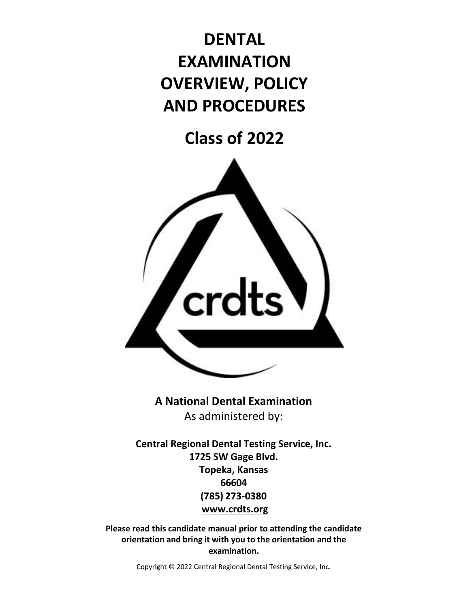**DENTAL EXAMINATION OVERVIEW, POLICY AND PROCEDURES**

**Class of 2022**



**A National Dental Examination** As administered by:

**Central Regional Dental Testing Service, Inc. 1725 SW Gage Blvd. Topeka, Kansas 66604 (785) 273-0380 [www.crdts.org](http://www.srta.org/)**

**Please read this candidate manual prior to attending the candidate orientation and bring it with you to the orientation and the examination.**

Copyright © 2022 Central Regional Dental Testing Service, Inc.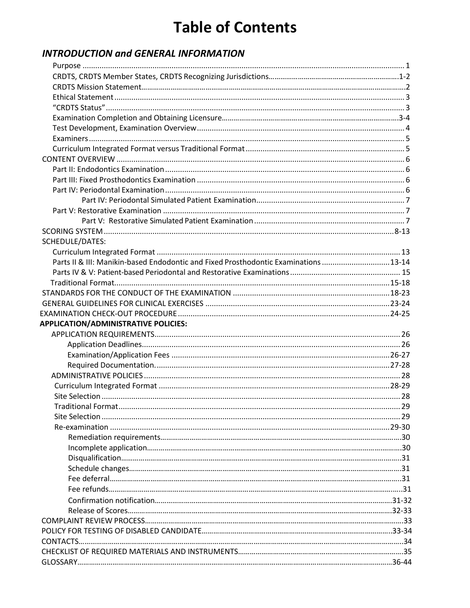# **Table of Contents**

### **INTRODUCTION and GENERAL INFORMATION**

| <b>SCHEDULE/DATES:</b>                                                              |  |
|-------------------------------------------------------------------------------------|--|
|                                                                                     |  |
| Parts II & III: Manikin-based Endodontic and Fixed Prosthodontic Examinations 13-14 |  |
|                                                                                     |  |
|                                                                                     |  |
|                                                                                     |  |
|                                                                                     |  |
|                                                                                     |  |
| APPLICATION/ADMINISTRATIVE POLICIES:                                                |  |
|                                                                                     |  |
|                                                                                     |  |
|                                                                                     |  |
|                                                                                     |  |
|                                                                                     |  |
|                                                                                     |  |
|                                                                                     |  |
|                                                                                     |  |
|                                                                                     |  |
|                                                                                     |  |
|                                                                                     |  |
|                                                                                     |  |
|                                                                                     |  |
|                                                                                     |  |
|                                                                                     |  |
|                                                                                     |  |
|                                                                                     |  |
|                                                                                     |  |
|                                                                                     |  |
|                                                                                     |  |
|                                                                                     |  |
|                                                                                     |  |
|                                                                                     |  |
|                                                                                     |  |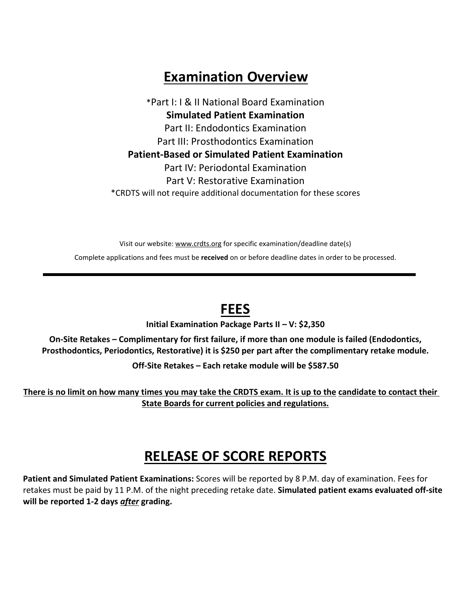## **Examination Overview**

\*Part I: I & II National Board Examination **Simulated Patient Examination** Part II: Endodontics Examination Part III: Prosthodontics Examination **Patient-Based or Simulated Patient Examination** Part IV: Periodontal Examination Part V: Restorative Examination \*CRDTS will not require additional documentation for these scores

Visit our website[: www.crdts.org](http://www.crdts.org/) for specific examination/deadline date(s) Complete applications and fees must be **received** on or before deadline dates in order to be processed.

## **FEES**

**Initial Examination Package Parts II – V: \$2,350**

**On-Site Retakes – Complimentary for first failure, if more than one module is failed (Endodontics, Prosthodontics, Periodontics, Restorative) it is \$250 per part after the complimentary retake module.**

**Off-Site Retakes – Each retake module will be \$587.50**

**There is no limit on how many times you may take the CRDTS exam. It is up to the candidate to contact their State Boards for current policies and regulations.**

## **RELEASE OF SCORE REPORTS**

**Patient and Simulated Patient Examinations:** Scores will be reported by 8 P.M. day of examination. Fees for retakes must be paid by 11 P.M. of the night preceding retake date. **Simulated patient exams evaluated off-site will be reported 1-2 days** *after* **grading.**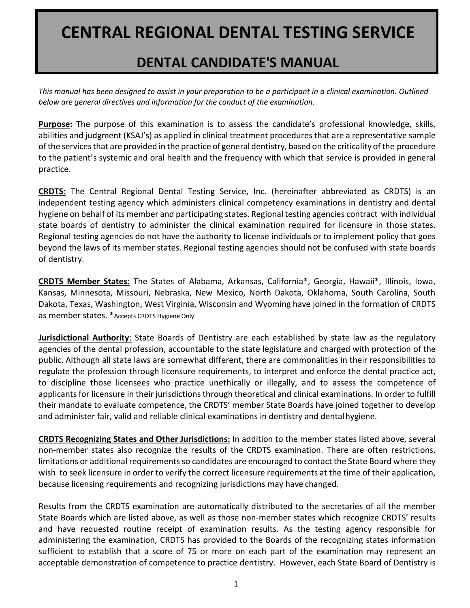# **CENTRAL REGIONAL DENTAL TESTING SERVICE**

## **DENTAL CANDIDATE'S MANUAL**

This manual has been designed to assist in your preparation to be a participant in a clinical examination. Outlined *below are general directives and information for the conduct of the examination.*

**Purpose:** The purpose of this examination is to assess the candidate's professional knowledge, skills, abilities and judgment (KSAJ's) as applied in clinical treatment procedures that are a representative sample ofthe servicesthat are provided in the practice of general dentistry, based on the criticality ofthe procedure to the patient's systemic and oral health and the frequency with which that service is provided in general practice.

**CRDTS:** The Central Regional Dental Testing Service, Inc. (hereinafter abbreviated as CRDTS) is an independent testing agency which administers clinical competency examinations in dentistry and dental hygiene on behalf of its member and participating states. Regional testing agencies contract with individual state boards of dentistry to administer the clinical examination required for licensure in those states. Regional testing agencies do not have the authority to license individuals or to implement policy that goes beyond the laws of its member states. Regional testing agencies should not be confused with state boards of dentistry.

**CRDTS Member States:** The States of Alabama, Arkansas, California\*, Georgia, Hawaii\*, Illinois, Iowa, Kansas, Minnesota, Missouri, Nebraska, New Mexico, North Dakota, Oklahoma, South Carolina, South Dakota, Texas, Washington, West Virginia, Wisconsin and Wyoming have joined in the formation of CRDTS as member states. \*Accepts CRDTS Hygiene Only

**Jurisdictional Authority**: State Boards of Dentistry are each established by state law as the regulatory agencies of the dental profession, accountable to the state legislature and charged with protection of the public. Although all state laws are somewhat different, there are commonalities in their responsibilities to regulate the profession through licensure requirements, to interpret and enforce the dental practice act, to discipline those licensees who practice unethically or illegally, and to assess the competence of applicants for licensure in their jurisdictions through theoretical and clinical examinations. In order to fulfill their mandate to evaluate competence, the CRDTS' member State Boards have joined together to develop and administer fair, valid and reliable clinical examinations in dentistry and dentalhygiene.

**CRDTS Recognizing States and Other Jurisdictions:** In addition to the member states listed above, several non-member states also recognize the results of the CRDTS examination. There are often restrictions, limitations or additional requirements so candidates are encouraged to contact the State Board where they wish to seek licensure in order to verify the correct licensure requirements at the time of their application, because licensing requirements and recognizing jurisdictions may have changed.

Results from the CRDTS examination are automatically distributed to the secretaries of all the member State Boards which are listed above, as well as those non-member states which recognize CRDTS' results and have requested routine receipt of examination results. As the testing agency responsible for administering the examination, CRDTS has provided to the Boards of the recognizing states information sufficient to establish that a score of 75 or more on each part of the examination may represent an acceptable demonstration of competence to practice dentistry. However, each State Board of Dentistry is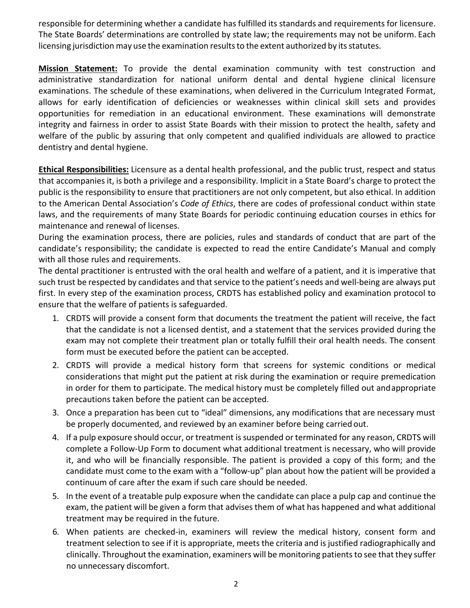responsible for determining whether a candidate has fulfilled its standards and requirements for licensure. The State Boards' determinations are controlled by state law; the requirements may not be uniform. Each licensing jurisdiction may use the examination results to the extent authorized by its statutes.

**Mission Statement:** To provide the dental examination community with test construction and administrative standardization for national uniform dental and dental hygiene clinical licensure examinations. The schedule of these examinations, when delivered in the Curriculum Integrated Format, allows for early identification of deficiencies or weaknesses within clinical skill sets and provides opportunities for remediation in an educational environment. These examinations will demonstrate integrity and fairness in order to assist State Boards with their mission to protect the health, safety and welfare of the public by assuring that only competent and qualified individuals are allowed to practice dentistry and dental hygiene.

**Ethical Responsibilities:** Licensure as a dental health professional, and the public trust, respect and status that accompanies it, is both a privilege and a responsibility. Implicit in a State Board's charge to protect the public is the responsibility to ensure that practitioners are not only competent, but also ethical. In addition to the American Dental Association's *Code of Ethics*, there are codes of professional conduct within state laws, and the requirements of many State Boards for periodic continuing education courses in ethics for maintenance and renewal of licenses.

During the examination process, there are policies, rules and standards of conduct that are part of the candidate's responsibility; the candidate is expected to read the entire Candidate's Manual and comply with all those rules and requirements.

The dental practitioner is entrusted with the oral health and welfare of a patient, and it is imperative that such trust be respected by candidates and that service to the patient's needs and well-being are always put first. In every step of the examination process, CRDTS has established policy and examination protocol to ensure that the welfare of patients is safeguarded.

- 1. CRDTS will provide a consent form that documents the treatment the patient will receive, the fact that the candidate is not a licensed dentist, and a statement that the services provided during the exam may not complete their treatment plan or totally fulfill their oral health needs. The consent form must be executed before the patient can be accepted.
- 2. CRDTS will provide a medical history form that screens for systemic conditions or medical considerations that might put the patient at risk during the examination or require premedication in order for them to participate. The medical history must be completely filled out andappropriate precautions taken before the patient can be accepted.
- 3. Once a preparation has been cut to "ideal" dimensions, any modifications that are necessary must be properly documented, and reviewed by an examiner before being carried out.
- 4. If a pulp exposure should occur, or treatment is suspended or terminated for any reason, CRDTS will complete a Follow-Up Form to document what additional treatment is necessary, who will provide it, and who will be financially responsible. The patient is provided a copy of this form; and the candidate must come to the exam with a "follow-up" plan about how the patient will be provided a continuum of care after the exam if such care should be needed.
- 5. In the event of a treatable pulp exposure when the candidate can place a pulp cap and continue the exam, the patient will be given a form that advises them of what has happened and what additional treatment may be required in the future.
- 6. When patients are checked-in, examiners will review the medical history, consent form and treatment selection to see if it is appropriate, meets the criteria and is justified radiographically and clinically. Throughout the examination, examiners will be monitoring patients to see that they suffer no unnecessary discomfort.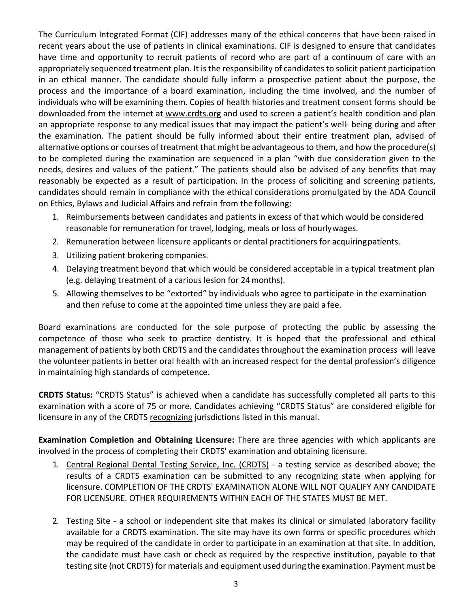The Curriculum Integrated Format (CIF) addresses many of the ethical concerns that have been raised in recent years about the use of patients in clinical examinations. CIF is designed to ensure that candidates have time and opportunity to recruit patients of record who are part of a continuum of care with an appropriately sequenced treatment plan. It is the responsibility of candidates to solicit patient participation in an ethical manner. The candidate should fully inform a prospective patient about the purpose, the process and the importance of a board examination, including the time involved, and the number of individuals who will be examining them. Copies of health histories and treatment consent forms should be downloaded from the internet at [www.crdts.org](http://www.crdts.org/) and used to screen a patient's health condition and plan an appropriate response to any medical issues that may impact the patient's well- being during and after the examination. The patient should be fully informed about their entire treatment plan, advised of alternative options or courses of treatment that might be advantageousto them, and how the procedure(s) to be completed during the examination are sequenced in a plan "with due consideration given to the needs, desires and values of the patient." The patients should also be advised of any benefits that may reasonably be expected as a result of participation. In the process of soliciting and screening patients, candidates should remain in compliance with the ethical considerations promulgated by the ADA Council on Ethics, Bylaws and Judicial Affairs and refrain from the following:

- 1. Reimbursements between candidates and patients in excess of that which would be considered reasonable for remuneration for travel, lodging, meals or loss of hourlywages.
- 2. Remuneration between licensure applicants or dental practitioners for acquiringpatients.
- 3. Utilizing patient brokering companies.
- 4. Delaying treatment beyond that which would be considered acceptable in a typical treatment plan (e.g. delaying treatment of a carious lesion for 24months).
- 5. Allowing themselves to be "extorted" by individuals who agree to participate in the examination and then refuse to come at the appointed time unless they are paid a fee.

Board examinations are conducted for the sole purpose of protecting the public by assessing the competence of those who seek to practice dentistry. It is hoped that the professional and ethical management of patients by both CRDTS and the candidates throughout the examination process will leave the volunteer patients in better oral health with an increased respect for the dental profession's diligence in maintaining high standards of competence.

**CRDTS Status:** "CRDTS Status" is achieved when a candidate has successfully completed all parts to this examination with a score of 75 or more. Candidates achieving "CRDTS Status" are considered eligible for licensure in any of the CRDTS recognizing jurisdictions listed in this manual.

**Examination Completion and Obtaining Licensure:** There are three agencies with which applicants are involved in the process of completing their CRDTS' examination and obtaining licensure.

- 1. Central Regional Dental Testing Service, Inc. (CRDTS) a testing service as described above; the results of a CRDTS examination can be submitted to any recognizing state when applying for licensure. COMPLETION OF THE CRDTS' EXAMINATION ALONE WILL NOT QUALIFY ANY CANDIDATE FOR LICENSURE. OTHER REQUIREMENTS WITHIN EACH OF THE STATES MUST BE MET.
- 2. Testing Site a school or independent site that makes its clinical or simulated laboratory facility available for a CRDTS examination. The site may have its own forms or specific procedures which may be required of the candidate in order to participate in an examination at that site. In addition, the candidate must have cash or check as required by the respective institution, payable to that testing site (not CRDTS) for materials and equipment used during the examination. Payment must be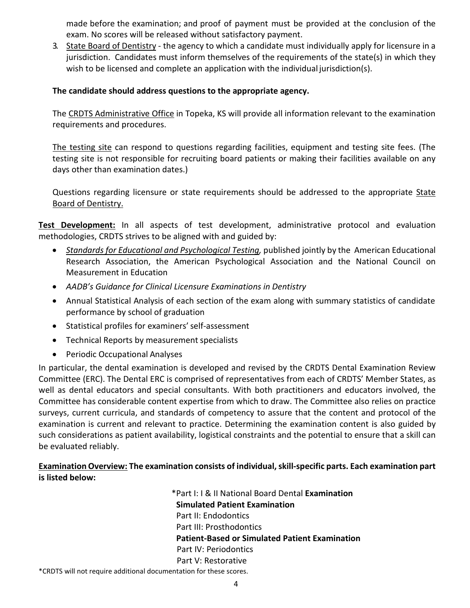made before the examination; and proof of payment must be provided at the conclusion of the exam. No scores will be released without satisfactory payment.

3. State Board of Dentistry - the agency to which a candidate must individually apply for licensure in a jurisdiction. Candidates must inform themselves of the requirements of the state(s) in which they wish to be licensed and complete an application with the individual jurisdiction(s).

#### **The candidate should address questions to the appropriate agency.**

The CRDTS Administrative Office in Topeka, KS will provide all information relevant to the examination requirements and procedures.

The testing site can respond to questions regarding facilities, equipment and testing site fees. (The testing site is not responsible for recruiting board patients or making their facilities available on any days other than examination dates.)

Questions regarding licensure or state requirements should be addressed to the appropriate State Board of Dentistry.

**Test Development:** In all aspects of test development, administrative protocol and evaluation methodologies, CRDTS strives to be aligned with and guided by:

- *Standards for Educational and Psychological Testing,* published jointly by the American Educational Research Association, the American Psychological Association and the National Council on Measurement in Education
- *AADB's Guidance for Clinical Licensure Examinations in Dentistry*
- Annual Statistical Analysis of each section of the exam along with summary statistics of candidate performance by school of graduation
- Statistical profiles for examiners'self-assessment
- Technical Reports by measurement specialists
- Periodic Occupational Analyses

In particular, the dental examination is developed and revised by the CRDTS Dental Examination Review Committee (ERC). The Dental ERC is comprised of representatives from each of CRDTS' Member States, as well as dental educators and special consultants. With both practitioners and educators involved, the Committee has considerable content expertise from which to draw. The Committee also relies on practice surveys, current curricula, and standards of competency to assure that the content and protocol of the examination is current and relevant to practice. Determining the examination content is also guided by such considerations as patient availability, logistical constraints and the potential to ensure that a skill can be evaluated reliably.

#### **Examination Overview: The examination consists of individual,skill-specific parts. Each examination part is listed below:**

\*Part I: I & II National Board Dental **Examination Simulated Patient Examination** Part II: Endodontics Part III: Prosthodontics **Patient-Based or Simulated Patient Examination** Part IV: Periodontics Part V: Restorative

\*CRDTS will not require additional documentation for these scores.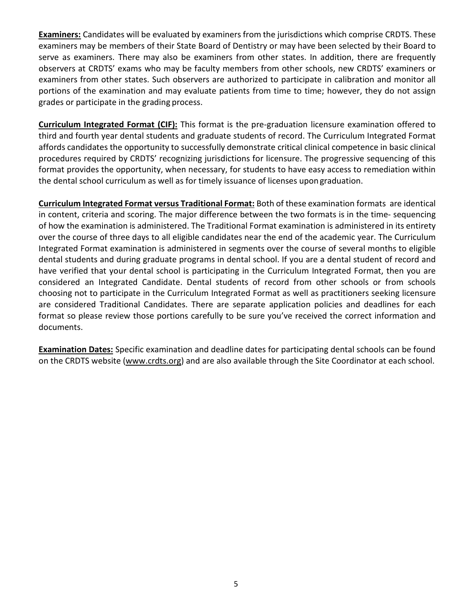**Examiners:** Candidates will be evaluated by examiners from the jurisdictions which comprise CRDTS. These examiners may be members of their State Board of Dentistry or may have been selected by their Board to serve as examiners. There may also be examiners from other states. In addition, there are frequently observers at CRDTS' exams who may be faculty members from other schools, new CRDTS' examiners or examiners from other states. Such observers are authorized to participate in calibration and monitor all portions of the examination and may evaluate patients from time to time; however, they do not assign grades or participate in the grading process.

**Curriculum Integrated Format (CIF):** This format is the pre-graduation licensure examination offered to third and fourth year dental students and graduate students of record. The Curriculum Integrated Format affords candidates the opportunity to successfully demonstrate critical clinical competence in basic clinical procedures required by CRDTS' recognizing jurisdictions for licensure. The progressive sequencing of this format provides the opportunity, when necessary, for students to have easy access to remediation within the dental school curriculum as well as for timely issuance of licenses upon graduation.

**Curriculum Integrated Format versus Traditional Format:** Both of these examination formats are identical in content, criteria and scoring. The major difference between the two formats is in the time- sequencing of how the examination is administered. The Traditional Format examination is administered in its entirety over the course of three days to all eligible candidates near the end of the academic year. The Curriculum Integrated Format examination is administered in segments over the course of several months to eligible dental students and during graduate programs in dental school. If you are a dental student of record and have verified that your dental school is participating in the Curriculum Integrated Format, then you are considered an Integrated Candidate. Dental students of record from other schools or from schools choosing not to participate in the Curriculum Integrated Format as well as practitioners seeking licensure are considered Traditional Candidates. There are separate application policies and deadlines for each format so please review those portions carefully to be sure you've received the correct information and documents.

**Examination Dates:** Specific examination and deadline dates for participating dental schools can be found on the CRDTS website [\(www.crdts.org\)](http://www.crdts.org/) and are also available through the Site Coordinator at each school.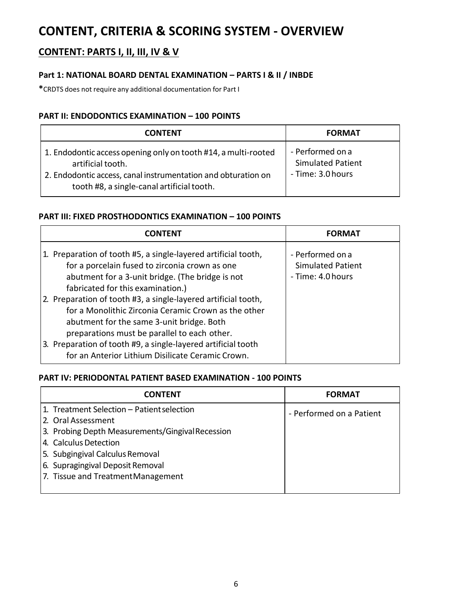## **CONTENT, CRITERIA & SCORING SYSTEM - OVERVIEW**

### **CONTENT: PARTS I, II, III, IV & V**

#### **Part 1: NATIONAL BOARD DENTAL EXAMINATION – PARTS I & II / INBDE**

**\***CRDTS does not require any additional documentation for Part I

#### **PART II: ENDODONTICS EXAMINATION – 100 POINTS**

| <b>CONTENT</b>                                                                                                                                                                                     | <b>FORMAT</b>                                                     |
|----------------------------------------------------------------------------------------------------------------------------------------------------------------------------------------------------|-------------------------------------------------------------------|
| 1. Endodontic access opening only on tooth #14, a multi-rooted<br>artificial tooth.<br>2. Endodontic access, canal instrumentation and obturation on<br>tooth #8, a single-canal artificial tooth. | - Performed on a<br><b>Simulated Patient</b><br>- Time: 3.0 hours |

#### **PART III: FIXED PROSTHODONTICS EXAMINATION – 100 POINTS**

| <b>CONTENT</b>                                                                                                                                                                                                                                                                                                                                                                                                                                                                                                                                         | <b>FORMAT</b>                                                     |
|--------------------------------------------------------------------------------------------------------------------------------------------------------------------------------------------------------------------------------------------------------------------------------------------------------------------------------------------------------------------------------------------------------------------------------------------------------------------------------------------------------------------------------------------------------|-------------------------------------------------------------------|
| 1. Preparation of tooth #5, a single-layered artificial tooth,<br>for a porcelain fused to zirconia crown as one<br>abutment for a 3-unit bridge. (The bridge is not<br>fabricated for this examination.)<br>2. Preparation of tooth #3, a single-layered artificial tooth,<br>for a Monolithic Zirconia Ceramic Crown as the other<br>abutment for the same 3-unit bridge. Both<br>preparations must be parallel to each other.<br>3. Preparation of tooth #9, a single-layered artificial tooth<br>for an Anterior Lithium Disilicate Ceramic Crown. | - Performed on a<br><b>Simulated Patient</b><br>- Time: 4.0 hours |

#### **PART IV: PERIODONTAL PATIENT BASED EXAMINATION - 100 POINTS**

| <b>CONTENT</b>                                   | <b>FORMAT</b>            |
|--------------------------------------------------|--------------------------|
| 1. Treatment Selection - Patient selection       | - Performed on a Patient |
| 2. Oral Assessment                               |                          |
| 3. Probing Depth Measurements/Gingival Recession |                          |
| 4. Calculus Detection                            |                          |
| 5. Subgingival Calculus Removal                  |                          |
| 6. Supragingival Deposit Removal                 |                          |
| 7. Tissue and Treatment Management               |                          |
|                                                  |                          |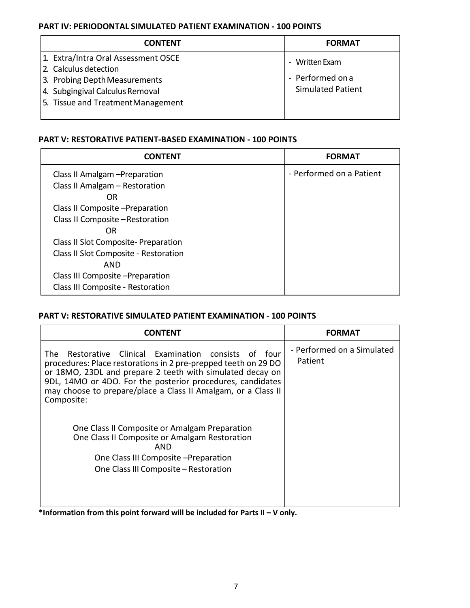#### **PART IV: PERIODONTAL SIMULATED PATIENT EXAMINATION - 100 POINTS**

| <b>CONTENT</b>                                                                                                                                                         | <b>FORMAT</b>                                                  |
|------------------------------------------------------------------------------------------------------------------------------------------------------------------------|----------------------------------------------------------------|
| 1. Extra/Intra Oral Assessment OSCE<br>2. Calculus detection<br>3. Probing Depth Measurements<br>4. Subgingival Calculus Removal<br>5. Tissue and Treatment Management | - Written Exam<br>- Performed on a<br><b>Simulated Patient</b> |

#### **PART V: RESTORATIVE PATIENT-BASED EXAMINATION - 100 POINTS**

| <b>CONTENT</b>                        | <b>FORMAT</b>            |
|---------------------------------------|--------------------------|
| Class II Amalgam - Preparation        | - Performed on a Patient |
| Class II Amalgam - Restoration        |                          |
| OR                                    |                          |
| Class II Composite - Preparation      |                          |
| Class II Composite - Restoration      |                          |
| OR                                    |                          |
| Class II Slot Composite-Preparation   |                          |
| Class II Slot Composite - Restoration |                          |
| AND                                   |                          |
| Class III Composite - Preparation     |                          |
| Class III Composite - Restoration     |                          |

#### **PART V: RESTORATIVE SIMULATED PATIENT EXAMINATION - 100 POINTS**

| <b>CONTENT</b>                                                                                                                                                                                                                                                                                                                                                                                                                                                                                                                    | <b>FORMAT</b>                         |
|-----------------------------------------------------------------------------------------------------------------------------------------------------------------------------------------------------------------------------------------------------------------------------------------------------------------------------------------------------------------------------------------------------------------------------------------------------------------------------------------------------------------------------------|---------------------------------------|
| Restorative Clinical Examination consists of four<br>The l<br>procedures: Place restorations in 2 pre-prepped teeth on 29 DO<br>or 18MO, 23DL and prepare 2 teeth with simulated decay on<br>9DL, 14MO or 4DO. For the posterior procedures, candidates<br>may choose to prepare/place a Class II Amalgam, or a Class II<br>Composite:<br>One Class II Composite or Amalgam Preparation<br>One Class II Composite or Amalgam Restoration<br>AND<br>One Class III Composite - Preparation<br>One Class III Composite - Restoration | - Performed on a Simulated<br>Patient |
|                                                                                                                                                                                                                                                                                                                                                                                                                                                                                                                                   |                                       |

**\*Information from this point forward will be included for Parts II – V only.**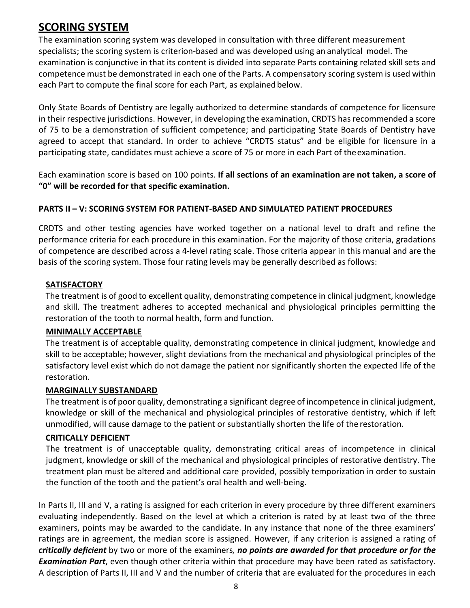### **SCORING SYSTEM**

The examination scoring system was developed in consultation with three different measurement specialists; the scoring system is criterion-based and was developed using an analytical model. The examination is conjunctive in that its content is divided into separate Parts containing related skill sets and competence must be demonstrated in each one of the Parts. A compensatory scoring system is used within each Part to compute the final score for each Part, as explained below.

Only State Boards of Dentistry are legally authorized to determine standards of competence for licensure in their respective jurisdictions. However, in developing the examination, CRDTS has recommended a score of 75 to be a demonstration of sufficient competence; and participating State Boards of Dentistry have agreed to accept that standard. In order to achieve "CRDTS status" and be eligible for licensure in a participating state, candidates must achieve a score of 75 or more in each Part of theexamination.

Each examination score is based on 100 points. **If all sections of an examination are not taken, a score of "0" will be recorded for that specific examination.**

#### **PARTS II – V: SCORING SYSTEM FOR PATIENT-BASED AND SIMULATED PATIENT PROCEDURES**

CRDTS and other testing agencies have worked together on a national level to draft and refine the performance criteria for each procedure in this examination. For the majority of those criteria, gradations of competence are described across a 4-level rating scale. Those criteria appear in this manual and are the basis of the scoring system. Those four rating levels may be generally described as follows:

#### **SATISFACTORY**

The treatment is of good to excellent quality, demonstrating competence in clinical judgment, knowledge and skill. The treatment adheres to accepted mechanical and physiological principles permitting the restoration of the tooth to normal health, form and function.

#### **MINIMALLY ACCEPTABLE**

The treatment is of acceptable quality, demonstrating competence in clinical judgment, knowledge and skill to be acceptable; however, slight deviations from the mechanical and physiological principles of the satisfactory level exist which do not damage the patient nor significantly shorten the expected life of the restoration.

#### **MARGINALLY SUBSTANDARD**

The treatment is of poor quality, demonstrating a significant degree of incompetence in clinical judgment, knowledge or skill of the mechanical and physiological principles of restorative dentistry, which if left unmodified, will cause damage to the patient or substantially shorten the life of the restoration.

#### **CRITICALLY DEFICIENT**

The treatment is of unacceptable quality, demonstrating critical areas of incompetence in clinical judgment, knowledge or skill of the mechanical and physiological principles of restorative dentistry. The treatment plan must be altered and additional care provided, possibly temporization in order to sustain the function of the tooth and the patient's oral health and well-being.

In Parts II, III and V, a rating is assigned for each criterion in every procedure by three different examiners evaluating independently. Based on the level at which a criterion is rated by at least two of the three examiners, points may be awarded to the candidate. In any instance that none of the three examiners' ratings are in agreement, the median score is assigned. However, if any criterion is assigned a rating of *critically deficient* by two or more of the examiners*, no points are awarded for that procedure or for the Examination Part*, even though other criteria within that procedure may have been rated as satisfactory. A description of Parts II, III and V and the number of criteria that are evaluated for the procedures in each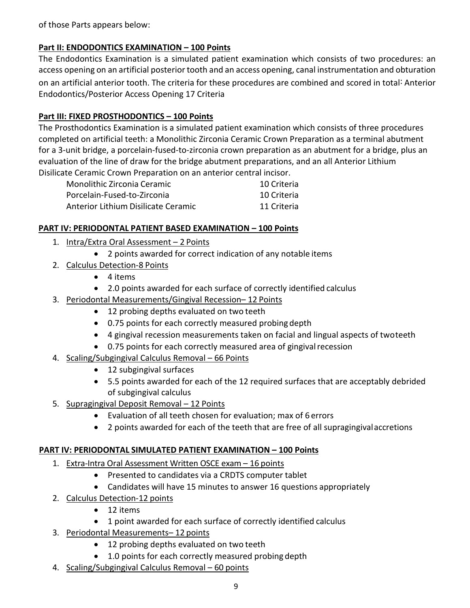of those Parts appears below:

#### **Part II: ENDODONTICS EXAMINATION – 100 Points**

The Endodontics Examination is a simulated patient examination which consists of two procedures: an access opening on an artificial posterior tooth and an access opening, canal instrumentation and obturation on an artificial anterior tooth. The criteria for these procedures are combined and scored in total: Anterior Endodontics/Posterior Access Opening 17 Criteria

#### **Part III: FIXED PROSTHODONTICS – 100 Points**

The Prosthodontics Examination is a simulated patient examination which consists of three procedures completed on artificial teeth: a Monolithic Zirconia Ceramic Crown Preparation as a terminal abutment for a 3-unit bridge, a porcelain-fused-to-zirconia crown preparation as an abutment for a bridge, plus an evaluation of the line of draw for the bridge abutment preparations, and an all Anterior Lithium Disilicate Ceramic Crown Preparation on an anterior central incisor.

| Monolithic Zirconia Ceramic         | 10 Criteria |
|-------------------------------------|-------------|
| Porcelain-Fused-to-Zirconia         | 10 Criteria |
| Anterior Lithium Disilicate Ceramic | 11 Criteria |

#### **PART IV: PERIODONTAL PATIENT BASED EXAMINATION – 100 Points**

- 1. Intra/Extra Oral Assessment 2 Points
	- 2 points awarded for correct indication of any notable items
- 2. Calculus Detection-8 Points
	- 4 items
	- 2.0 points awarded for each surface of correctly identified calculus
- 3. Periodontal Measurements/Gingival Recession– 12 Points
	- 12 probing depths evaluated on two teeth
	- 0.75 points for each correctly measured probingdepth
	- 4 gingival recession measurements taken on facial and lingual aspects of twoteeth
	- 0.75 points for each correctly measured area of gingival recession
- 4. Scaling/Subgingival Calculus Removal 66 Points
	- 12 subgingival surfaces
	- 5.5 points awarded for each of the 12 required surfaces that are acceptably debrided of subgingival calculus
- 5. Supragingival Deposit Removal 12 Points
	- Evaluation of all teeth chosen for evaluation; max of 6 errors
	- 2 points awarded for each of the teeth that are free of all supragingivalaccretions

#### **PART IV: PERIODONTAL SIMULATED PATIENT EXAMINATION – 100 Points**

- 1. Extra-Intra Oral Assessment Written OSCE exam 16 points
	- Presented to candidates via a CRDTS computer tablet
	- Candidates will have 15 minutes to answer 16 questions appropriately
- 2. Calculus Detection-12 points
	- 12 items
	- 1 point awarded for each surface of correctly identified calculus
- 3. Periodontal Measurements– 12 points
	- 12 probing depths evaluated on two teeth
	- 1.0 points for each correctly measured probing depth
- 4. Scaling/Subgingival Calculus Removal 60 points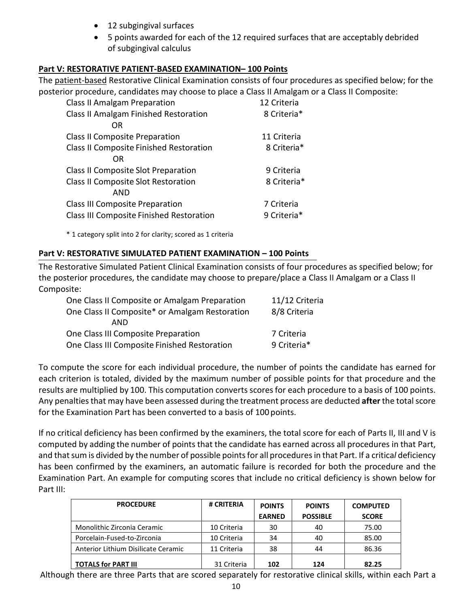- 12 subgingival surfaces
- 5 points awarded for each of the 12 required surfaces that are acceptably debrided of subgingival calculus

#### **Part V: RESTORATIVE PATIENT-BASED EXAMINATION– 100 Points**

The patient-based Restorative Clinical Examination consists of four procedures as specified below; for the posterior procedure, candidates may choose to place a Class II Amalgam or a Class II Composite:

| 12 Criteria |
|-------------|
| 8 Criteria* |
|             |
| 11 Criteria |
| 8 Criteria* |
|             |
| 9 Criteria  |
| 8 Criteria* |
|             |
| 7 Criteria  |
| 9 Criteria* |
|             |

\* 1 category split into 2 for clarity; scored as 1 criteria

#### **Part V: RESTORATIVE SIMULATED PATIENT EXAMINATION – 100 Points**

The Restorative Simulated Patient Clinical Examination consists of four procedures as specified below; for the posterior procedures, the candidate may choose to prepare/place a Class II Amalgam or a Class II Composite:

| One Class II Composite or Amalgam Preparation  | 11/12 Criteria |
|------------------------------------------------|----------------|
| One Class II Composite* or Amalgam Restoration | 8/8 Criteria   |
| AND                                            |                |
| One Class III Composite Preparation            | 7 Criteria     |
| One Class III Composite Finished Restoration   | 9 Criteria*    |

To compute the score for each individual procedure, the number of points the candidate has earned for each criterion is totaled, divided by the maximum number of possible points for that procedure and the results are multiplied by 100. This computation converts scores for each procedure to a basis of 100 points. Any penalties that may have been assessed during the treatment process are deducted after the total score for the Examination Part has been converted to a basis of 100 points.

If no critical deficiency has been confirmed by the examiners, the total score for each of Parts II, III and V is computed by adding the number of points that the candidate has earned across all procedures in that Part, and that sum is divided by the number of possible points for all procedures in that Part. If a critica*l* deficiency has been confirmed by the examiners, an automatic failure is recorded for both the procedure and the Examination Part. An example for computing scores that include no critical deficiency is shown below for Part III:

| <b>PROCEDURE</b>                    | # CRITERIA  | <b>POINTS</b> | <b>POINTS</b>   | <b>COMPUTED</b> |
|-------------------------------------|-------------|---------------|-----------------|-----------------|
|                                     |             | <b>EARNED</b> | <b>POSSIBLE</b> | <b>SCORE</b>    |
| Monolithic Zirconia Ceramic         | 10 Criteria | 30            | 40              | 75.00           |
| Porcelain-Fused-to-Zirconia         | 10 Criteria | 34            | 40              | 85.00           |
| Anterior Lithium Disilicate Ceramic | 11 Criteria | 38            | 44              | 86.36           |
| <b>TOTALS for PART III</b>          | 31 Criteria | 102           | 124             | 82.25           |

Although there are three Parts that are scored separately for restorative clinical skills, within each Part a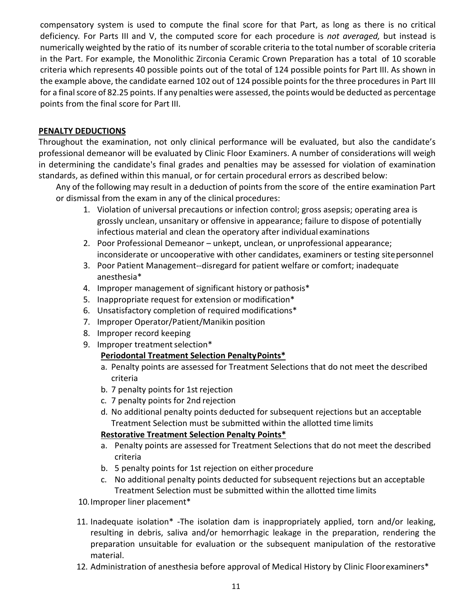compensatory system is used to compute the final score for that Part, as long as there is no critical deficiency*.* For Parts III and V, the computed score for each procedure is *not averaged,* but instead is numerically weighted by the ratio of its number of scorable criteria to the total number of scorable criteria in the Part. For example, the Monolithic Zirconia Ceramic Crown Preparation has a total of 10 scorable criteria which represents 40 possible points out of the total of 124 possible points for Part III. As shown in the example above, the candidate earned 102 out of 124 possible pointsfor the three procedures in Part III for a final score of 82.25 points. If any penalties were assessed, the points would be deducted as percentage points from the final score for Part III.

#### **PENALTY DEDUCTIONS**

Throughout the examination, not only clinical performance will be evaluated, but also the candidate's professional demeanor will be evaluated by Clinic Floor Examiners. A number of considerations will weigh in determining the candidate's final grades and penalties may be assessed for violation of examination standards, as defined within this manual, or for certain procedural errors as described below:

Any of the following may result in a deduction of points from the score of the entire examination Part or dismissal from the exam in any of the clinical procedures:

- 1. Violation of universal precautions or infection control; gross asepsis; operating area is grossly unclean, unsanitary or offensive in appearance; failure to dispose of potentially infectious material and clean the operatory after individual examinations
- 2. Poor Professional Demeanor unkept, unclean, or unprofessional appearance; inconsiderate or uncooperative with other candidates, examiners or testing sitepersonnel
- 3. Poor Patient Management--disregard for patient welfare or comfort; inadequate anesthesia\*
- 4. Improper management of significant history or pathosis\*
- 5. Inappropriate request for extension or modification\*
- 6. Unsatisfactory completion of required modifications\*
- 7. Improper Operator/Patient/Manikin position
- 8. Improper record keeping
- 9. Improper treatment selection\*

#### **Periodontal Treatment Selection PenaltyPoints\***

- a. Penalty points are assessed for Treatment Selections that do not meet the described criteria
- b. 7 penalty points for 1st rejection
- c. 7 penalty points for 2nd rejection
- d. No additional penalty points deducted for subsequent rejections but an acceptable Treatment Selection must be submitted within the allotted time limits

#### **Restorative Treatment Selection Penalty Points\***

- a. Penalty points are assessed for Treatment Selections that do not meet the described criteria
- b. 5 penalty points for 1st rejection on either procedure
- c. No additional penalty points deducted for subsequent rejections but an acceptable Treatment Selection must be submitted within the allotted time limits
- 10.Improper liner placement\*
- 11. Inadequate isolation\* -The isolation dam is inappropriately applied, torn and/or leaking, resulting in debris, saliva and/or hemorrhagic leakage in the preparation, rendering the preparation unsuitable for evaluation or the subsequent manipulation of the restorative material.
- 12. Administration of anesthesia before approval of Medical History by Clinic Floorexaminers\*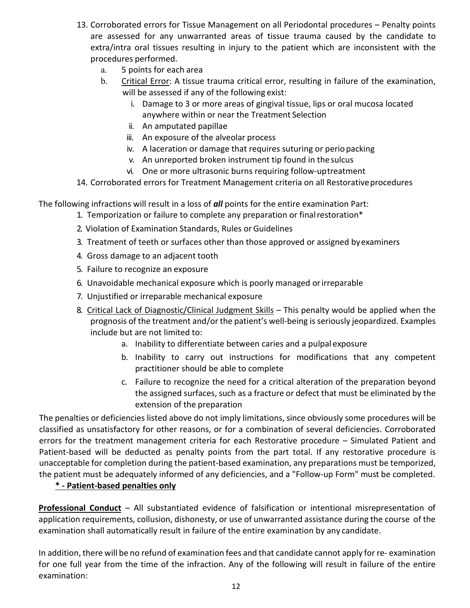- 13. Corroborated errors for Tissue Management on all Periodontal procedures Penalty points are assessed for any unwarranted areas of tissue trauma caused by the candidate to extra/intra oral tissues resulting in injury to the patient which are inconsistent with the procedures performed.
	- a. 5 points for each area
	- b. Critical Error: A tissue trauma critical error, resulting in failure of the examination, will be assessed if any of the following exist:
		- i. Damage to 3 or more areas of gingival tissue, lips or oral mucosa located anywhere within or near the Treatment Selection
		- ii. An amputated papillae
		- iii. An exposure of the alveolar process
		- iv. A laceration or damage that requires suturing or perio packing
		- v. An unreported broken instrument tip found in thesulcus
		- vi. One or more ultrasonic burns requiring follow-uptreatment
- 14. Corroborated errors for Treatment Management criteria on all Restorativeprocedures

The following infractions will result in a loss of *all* points for the entire examination Part:

- 1. Temporization or failure to complete any preparation or finalrestoration\*
- 2. Violation of Examination Standards, Rules or Guidelines
- 3. Treatment of teeth or surfaces other than those approved or assigned byexaminers
- 4. Gross damage to an adjacent tooth
- 5. Failure to recognize an exposure
- 6. Unavoidable mechanical exposure which is poorly managed orirreparable
- 7. Unjustified or irreparable mechanical exposure
- 8. Critical Lack of Diagnostic/Clinical Judgment Skills This penalty would be applied when the prognosis of the treatment and/or the patient's well-being is seriously jeopardized. Examples include but are not limited to:
	- a. Inability to differentiate between caries and a pulpal exposure
	- b. Inability to carry out instructions for modifications that any competent practitioner should be able to complete
	- c. Failure to recognize the need for a critical alteration of the preparation beyond the assigned surfaces, such as a fracture or defect that must be eliminated by the extension of the preparation

The penalties or deficiencies listed above do not imply limitations, since obviously some procedures will be classified as unsatisfactory for other reasons, or for a combination of several deficiencies. Corroborated errors for the treatment management criteria for each Restorative procedure – Simulated Patient and Patient-based will be deducted as penalty points from the part total. If any restorative procedure is unacceptable for completion during the patient-based examination, any preparations must be temporized, the patient must be adequately informed of any deficiencies, and a "Follow-up Form" must be completed.

#### **\* - Patient-based penalties only**

**Professional Conduct** – All substantiated evidence of falsification or intentional misrepresentation of application requirements, collusion, dishonesty, or use of unwarranted assistance during the course of the examination shall automatically result in failure of the entire examination by any candidate.

In addition, there will be no refund of examination fees and that candidate cannot apply for re- examination for one full year from the time of the infraction. Any of the following will result in failure of the entire examination: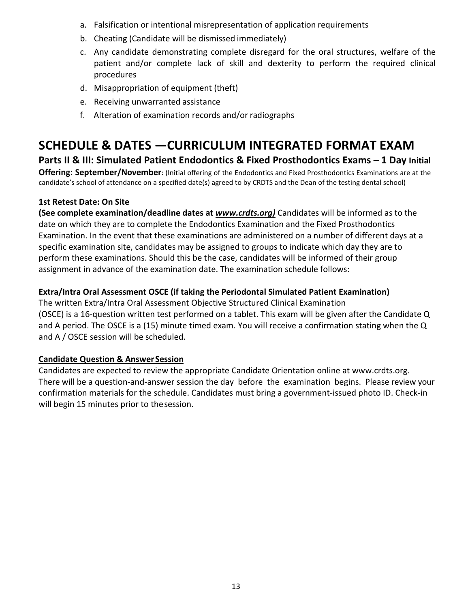- a. Falsification or intentional misrepresentation of application requirements
- b. Cheating (Candidate will be dismissed immediately)
- c. Any candidate demonstrating complete disregard for the oral structures, welfare of the patient and/or complete lack of skill and dexterity to perform the required clinical procedures
- d. Misappropriation of equipment (theft)
- e. Receiving unwarranted assistance
- f. Alteration of examination records and/or radiographs

## **SCHEDULE & DATES —CURRICULUM INTEGRATED FORMAT EXAM**

### **Parts II & III: Simulated Patient Endodontics & Fixed Prosthodontics Exams – 1 Day Initial**

**Offering: September/November**: (Initial offering of the Endodontics and Fixed Prosthodontics Examinations are at the candidate's school of attendance on a specified date(s) agreed to by CRDTS and the Dean of the testing dental school)

#### **1st Retest Date: On Site**

**(See complete examination/deadline dates at** *[www.crdts.org\)](http://www.crdts.org/)* Candidates will be informed as to the date on which they are to complete the Endodontics Examination and the Fixed Prosthodontics Examination. In the event that these examinations are administered on a number of different days at a specific examination site, candidates may be assigned to groups to indicate which day they are to perform these examinations. Should this be the case, candidates will be informed of their group assignment in advance of the examination date. The examination schedule follows:

#### **Extra/Intra Oral Assessment OSCE (if taking the Periodontal Simulated Patient Examination)**

The written Extra/Intra Oral Assessment Objective Structured Clinical Examination (OSCE) is a 16-question written test performed on a tablet. This exam will be given after the Candidate Q and A period. The OSCE is a (15) minute timed exam. You will receive a confirmation stating when the Q and A / OSCE session will be scheduled.

#### **Candidate Question & AnswerSession**

[Candidates are expected to review the appropriate Candidate Orientation online at www.crdts.org.](http://www.crdts.org/)  [There will be a question-and-answer session the day before the examination begins. Please r](http://www.crdts.org/)eview your confirmation materials for the schedule. Candidates must bring a government-issued photo ID. Check-in will begin 15 minutes prior to thesession.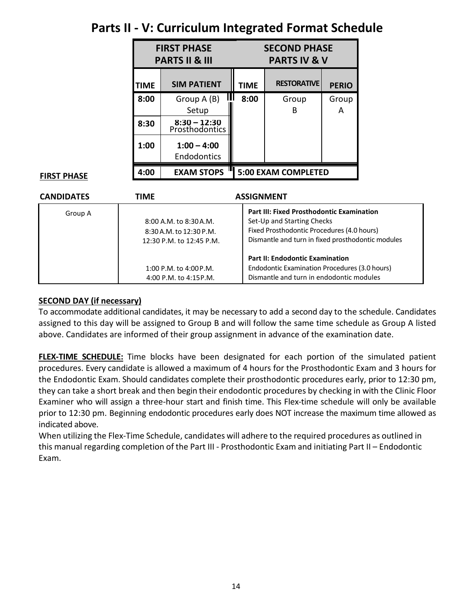## **Parts II - V: Curriculum Integrated Format Schedule**

| <b>FIRST PHASE</b><br><b>PARTS II &amp; III</b> |                                  | <b>SECOND PHASE</b><br><b>PARTS IV &amp; V</b> |                    |              |
|-------------------------------------------------|----------------------------------|------------------------------------------------|--------------------|--------------|
| TIME                                            | <b>SIM PATIENT</b>               | <b>TIME</b>                                    | <b>RESTORATIVE</b> | <b>PERIO</b> |
| 8:00                                            | Group A (B)<br>Setup             | 8:00                                           | Group<br>в         | Group<br>А   |
| 8:30                                            | $8:30 - 12:30$<br>Prosthodontics |                                                |                    |              |
| 1:00                                            | $1:00 - 4:00$<br>Endodontics     |                                                |                    |              |
| 4:00                                            | <b>EXAM STOPS</b>                | <b>5:00 EXAM COMPLETED</b>                     |                    |              |

#### **FIRST PHASE**

| <b>CANDIDATES</b> | <b>TIME</b>                                                                   | <b>ASSIGNMENT</b>                                                                                                                                                                 |
|-------------------|-------------------------------------------------------------------------------|-----------------------------------------------------------------------------------------------------------------------------------------------------------------------------------|
| Group A           | 8:00 A.M. to 8:30 A.M.<br>8:30 A.M. to 12:30 P.M.<br>12:30 P.M. to 12:45 P.M. | <b>Part III: Fixed Prosthodontic Examination</b><br>Set-Up and Starting Checks<br>Fixed Prosthodontic Procedures (4.0 hours)<br>Dismantle and turn in fixed prosthodontic modules |
|                   | 1:00 P.M. to $4:00$ P.M.<br>4:00 P.M. to 4:15P.M.                             | <b>Part II: Endodontic Examination</b><br>Endodontic Examination Procedures (3.0 hours)<br>Dismantle and turn in endodontic modules                                               |

#### **SECOND DAY (if necessary)**

To accommodate additional candidates, it may be necessary to add a second day to the schedule. Candidates assigned to this day will be assigned to Group B and will follow the same time schedule as Group A listed above. Candidates are informed of their group assignment in advance of the examination date.

**FLEX-TIME SCHEDULE:** Time blocks have been designated for each portion of the simulated patient procedures. Every candidate is allowed a maximum of 4 hours for the Prosthodontic Exam and 3 hours for the Endodontic Exam. Should candidates complete their prosthodontic procedures early, prior to 12:30 pm, they can take a short break and then begin their endodontic procedures by checking in with the Clinic Floor Examiner who will assign a three-hour start and finish time. This Flex-time schedule will only be available prior to 12:30 pm. Beginning endodontic procedures early does NOT increase the maximum time allowed as indicated above.

When utilizing the Flex-Time Schedule, candidates will adhere to the required procedures as outlined in this manual regarding completion of the Part III - Prosthodontic Exam and initiating Part II – Endodontic Exam.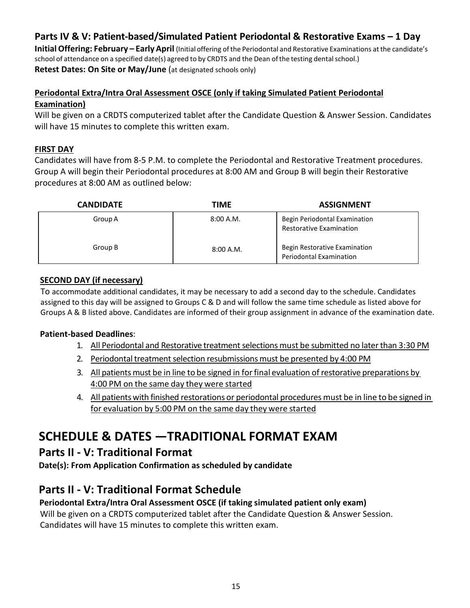### **Parts IV & V: Patient-based/Simulated Patient Periodontal & Restorative Exams – 1 Day**

**InitialOffering: February – EarlyApril** (Initial offering ofthe Periodontal and Restorative Examinations at the candidate's school of attendance on a specified date(s) agreed to by CRDTS and the Dean of the testing dental school.) **Retest Dates: On Site or May/June** (at designated schools only)

#### **Periodontal Extra/Intra Oral Assessment OSCE (only if taking Simulated Patient Periodontal Examination)**

Will be given on a CRDTS computerized tablet after the Candidate Question & Answer Session. Candidates will have 15 minutes to complete this written exam.

#### **FIRST DAY**

Candidates will have from 8-5 P.M. to complete the Periodontal and Restorative Treatment procedures. Group A will begin their Periodontal procedures at 8:00 AM and Group B will begin their Restorative procedures at 8:00 AM as outlined below:

| <b>CANDIDATE</b> | <b>TIME</b> | <b>ASSIGNMENT</b>                                               |
|------------------|-------------|-----------------------------------------------------------------|
| Group A          | 8:00 A.M.   | Begin Periodontal Examination<br><b>Restorative Examination</b> |
| Group B          | 8:00 A.M.   | Begin Restorative Examination<br><b>Periodontal Examination</b> |

#### **SECOND DAY (if necessary)**

To accommodate additional candidates, it may be necessary to add a second day to the schedule. Candidates assigned to this day will be assigned to Groups C & D and will follow the same time schedule as listed above for Groups A & B listed above. Candidates are informed of their group assignment in advance of the examination date.

#### **Patient-based Deadlines**:

- 1. All Periodontal and Restorative treatment selections must be submitted no later than 3:30 PM
- 2. Periodontal treatment selection resubmissions must be presented by 4:00 PM
- 3. All patients must be in line to be signed in for final evaluation of restorative preparations by 4:00 PM on the same day they were started
- 4. All patientswith finished restorations or periodontal procedures must be in line to be signed in for evaluation by 5:00 PM on the same day they were started

## **SCHEDULE & DATES —TRADITIONAL FORMAT EXAM**

### **Parts II - V: Traditional Format**

**Date(s): From Application Confirmation as scheduled by candidate**

### **Parts II - V: Traditional Format Schedule**

#### **Periodontal Extra/Intra Oral Assessment OSCE (if taking simulated patient only exam)**

Will be given on a CRDTS computerized tablet after the Candidate Question & Answer Session. Candidates will have 15 minutes to complete this written exam.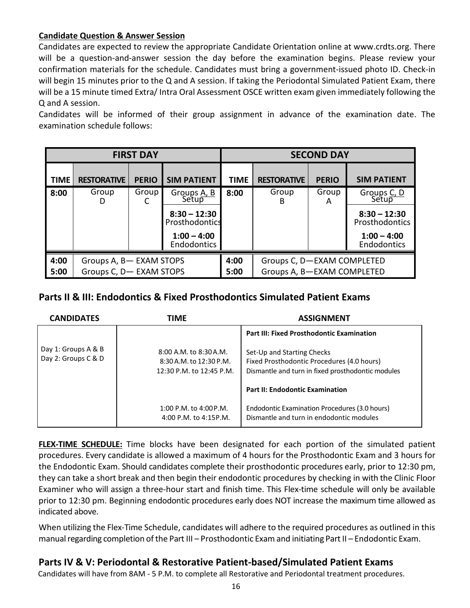#### **Candidate Question & Answer Session**

Candidates are expected to review the appropriate Candidate Orientation online at [www.crdts.org. T](http://www.crdts.org/)here will be a question-and-answer session the day before the examination begins. Please review your confirmation materials for the schedule. Candidates must bring a government-issued photo ID. Check-in will begin 15 minutes prior to the Q and A session. If taking the Periodontal Simulated Patient Exam, there will be a 15 minute timed Extra/ Intra Oral Assessment OSCE written exam given immediately following the Q and A session.

Candidates will be informed of their group assignment in advance of the examination date. The examination schedule follows:

| <b>FIRST DAY</b>                |                         |              | <b>SECOND DAY</b>                |                            |                    |              |                                  |
|---------------------------------|-------------------------|--------------|----------------------------------|----------------------------|--------------------|--------------|----------------------------------|
| <b>TIME</b>                     | <b>RESTORATIVE</b>      | <b>PERIO</b> | <b>SIM PATIENT</b>               | <b>TIME</b>                | <b>RESTORATIVE</b> | <b>PERIO</b> | <b>SIM PATIENT</b>               |
| 8:00                            | Group<br>D              | Group        | Groups A, B<br>Setup             | 8:00                       | Group<br>B         | Group<br>A   | Groups C, D<br>Setup             |
|                                 |                         |              | $8:30 - 12:30$<br>Prosthodontics |                            |                    |              | $8:30 - 12:30$<br>Prosthodontics |
|                                 |                         |              | $1:00 - 4:00$<br>Endodontics     |                            |                    |              | $1:00 - 4:00$<br>Endodontics     |
| 4:00<br>Groups A, B- EXAM STOPS |                         | 4:00         | Groups C, D-EXAM COMPLETED       |                            |                    |              |                                  |
| 5:00                            | Groups C, D- EXAM STOPS |              | 5:00                             | Groups A, B-EXAM COMPLETED |                    |              |                                  |

#### **Parts II & III: Endodontics & Fixed Prosthodontics Simulated Patient Exams**

| <b>CANDIDATES</b>                          | TIMF                                                                          | <b>ASSIGNMENT</b>                                                                                                                                                       |
|--------------------------------------------|-------------------------------------------------------------------------------|-------------------------------------------------------------------------------------------------------------------------------------------------------------------------|
|                                            |                                                                               | <b>Part III: Fixed Prosthodontic Examination</b>                                                                                                                        |
| Day 1: Groups A & B<br>Day 2: Groups C & D | 8:00 A.M. to 8:30 A.M.<br>8:30 A.M. to 12:30 P.M.<br>12:30 P.M. to 12:45 P.M. | Set-Up and Starting Checks<br>Fixed Prosthodontic Procedures (4.0 hours)<br>Dismantle and turn in fixed prosthodontic modules<br><b>Part II: Endodontic Examination</b> |
|                                            | 1:00 P.M. to $4:00$ P.M.<br>4:00 P.M. to $4:15P.M.$                           | Endodontic Examination Procedures (3.0 hours)<br>Dismantle and turn in endodontic modules                                                                               |

**FLEX-TIME SCHEDULE:** Time blocks have been designated for each portion of the simulated patient procedures. Every candidate is allowed a maximum of 4 hours for the Prosthodontic Exam and 3 hours for the Endodontic Exam. Should candidates complete their prosthodontic procedures early, prior to 12:30 pm, they can take a short break and then begin their endodontic procedures by checking in with the Clinic Floor Examiner who will assign a three-hour start and finish time. This Flex-time schedule will only be available prior to 12:30 pm. Beginning endodontic procedures early does NOT increase the maximum time allowed as indicated above.

When utilizing the Flex-Time Schedule, candidates will adhere to the required procedures as outlined in this manual regarding completion of the Part III – Prosthodontic Exam and initiating Part II – Endodontic Exam.

#### **Parts IV & V: Periodontal & Restorative Patient-based/Simulated Patient Exams**

Candidates will have from 8AM - 5 P.M. to complete all Restorative and Periodontal treatment procedures.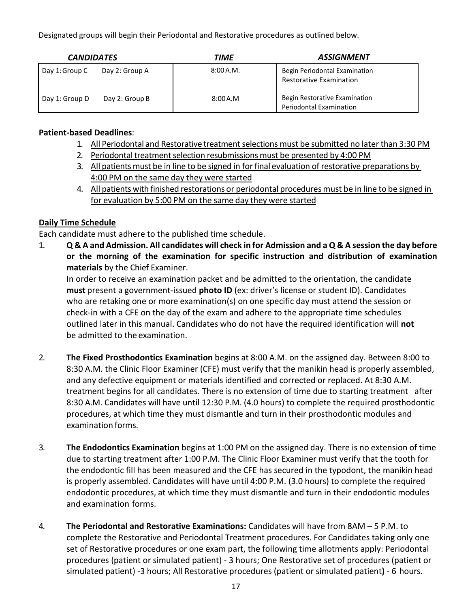Designated groups will begin their Periodontal and Restorative procedures as outlined below.

| <b>CANDIDATES</b> |                | TIME      | <b>ASSIGNMENT</b>                                               |
|-------------------|----------------|-----------|-----------------------------------------------------------------|
| Day 1: Group C    | Day 2: Group A | 8:00 A.M. | Begin Periodontal Examination<br><b>Restorative Examination</b> |
| Day 1: Group D    | Day 2: Group B | 8:00A.M   | Begin Restorative Examination<br><b>Periodontal Examination</b> |

#### **Patient-based Deadlines**:

- 1. All Periodontal and Restorative treatment selections must be submitted no later than 3:30 PM
- 2. Periodontal treatment selection resubmissions must be presented by 4:00 PM
- 3. All patients must be in line to be signed in for final evaluation of restorative preparations by 4:00 PM on the same day they were started
- 4. All patients with finished restorations or periodontal procedures must be in line to be signed in for evaluation by 5:00 PM on the same day they were started

#### **Daily Time Schedule**

Each candidate must adhere to the published time schedule.

1. **Q & A and Admission. All candidates will check in for Admission and a Q & A session the day before or the morning of the examination for specific instruction and distribution of examination materials** by the Chief Examiner.

In order to receive an examination packet and be admitted to the orientation, the candidate **must** present a government-issued **photo ID** (ex: driver's license or student ID). Candidates who are retaking one or more examination(s) on one specific day must attend the session or check-in with a CFE on the day of the exam and adhere to the appropriate time schedules outlined later in this manual. Candidates who do not have the required identification will **not**  be admitted to the examination.

- 2. **The Fixed Prosthodontics Examination** begins at 8:00 A.M. on the assigned day. Between 8:00 to 8:30 A.M. the Clinic Floor Examiner (CFE) must verify that the manikin head is properly assembled, and any defective equipment or materials identified and corrected or replaced. At 8:30 A.M. treatment begins for all candidates. There is no extension of time due to starting treatment after 8:30 A.M. Candidates will have until 12:30 P.M. (4.0 hours) to complete the required prosthodontic procedures, at which time they must dismantle and turn in their prosthodontic modules and examination forms.
- 3. **The Endodontics Examination** begins at 1:00 PM on the assigned day. There is no extension of time due to starting treatment after 1:00 P.M. The Clinic Floor Examiner must verify that the tooth for the endodontic fill has been measured and the CFE has secured in the typodont, the manikin head is properly assembled. Candidates will have until 4:00 P.M. (3.0 hours) to complete the required endodontic procedures, at which time they must dismantle and turn in their endodontic modules and examination forms.
- 4. **The Periodontal and Restorative Examinations:** Candidates will have from 8AM 5 P.M. to complete the Restorative and Periodontal Treatment procedures. For Candidates taking only one set of Restorative procedures or one exam part, the following time allotments apply: Periodontal procedures (patient or simulated patient) - 3 hours; One Restorative set of procedures (patient or simulated patient) -3 hours; All Restorative procedures (patient or simulated patient**)** - 6 hours.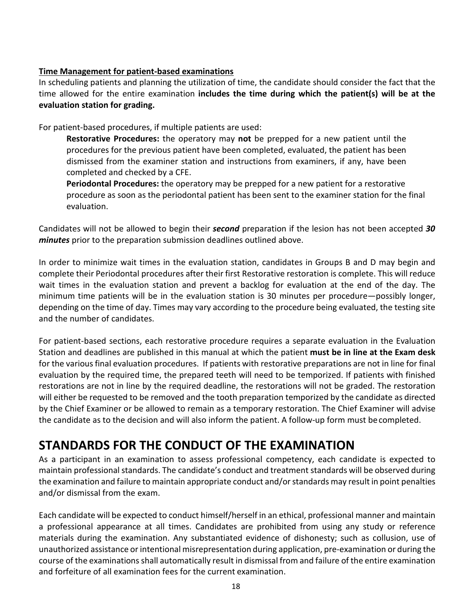#### **Time Management for patient-based examinations**

In scheduling patients and planning the utilization of time, the candidate should consider the fact that the time allowed for the entire examination **includes the time during which the patient(s) will be at the evaluation station for grading.**

For patient-based procedures, if multiple patients are used:

- **Restorative Procedures:** the operatory may **not** be prepped for a new patient until the procedures for the previous patient have been completed, evaluated, the patient has been dismissed from the examiner station and instructions from examiners, if any, have been completed and checked by a CFE.
- **Periodontal Procedures:** the operatory may be prepped for a new patient for a restorative procedure as soon as the periodontal patient has been sent to the examiner station for the final evaluation.

Candidates will not be allowed to begin their *second* preparation if the lesion has not been accepted *30 minutes* prior to the preparation submission deadlines outlined above.

In order to minimize wait times in the evaluation station, candidates in Groups B and D may begin and complete their Periodontal procedures after their first Restorative restoration is complete. This will reduce wait times in the evaluation station and prevent a backlog for evaluation at the end of the day. The minimum time patients will be in the evaluation station is 30 minutes per procedure—possibly longer, depending on the time of day. Times may vary according to the procedure being evaluated, the testing site and the number of candidates.

For patient-based sections, each restorative procedure requires a separate evaluation in the Evaluation Station and deadlines are published in this manual at which the patient **must be in line at the Exam desk**  for the variousfinal evaluation procedures. If patients with restorative preparations are not in line for final evaluation by the required time, the prepared teeth will need to be temporized. If patients with finished restorations are not in line by the required deadline, the restorations will not be graded. The restoration will either be requested to be removed and the tooth preparation temporized by the candidate as directed by the Chief Examiner or be allowed to remain as a temporary restoration. The Chief Examiner will advise the candidate as to the decision and will also inform the patient. A follow-up form must becompleted.

## <span id="page-20-0"></span>**STANDARDS FOR THE CONDUCT OF THE EXAMINATION**

As a participant in an examination to assess professional competency, each candidate is expected to maintain professional standards. The candidate's conduct and treatment standards will be observed during the examination and failure to maintain appropriate conduct and/orstandards may result in point penalties and/or dismissal from the exam.

Each candidate will be expected to conduct himself/herself in an ethical, professional manner and maintain a professional appearance at all times. Candidates are prohibited from using any study or reference materials during the examination. Any substantiated evidence of dishonesty; such as collusion, use of unauthorized assistance or intentional misrepresentation during application, pre-examination or during the course of the examinations shall automatically result in dismissal from and failure of the entire examination and forfeiture of all examination fees for the current examination.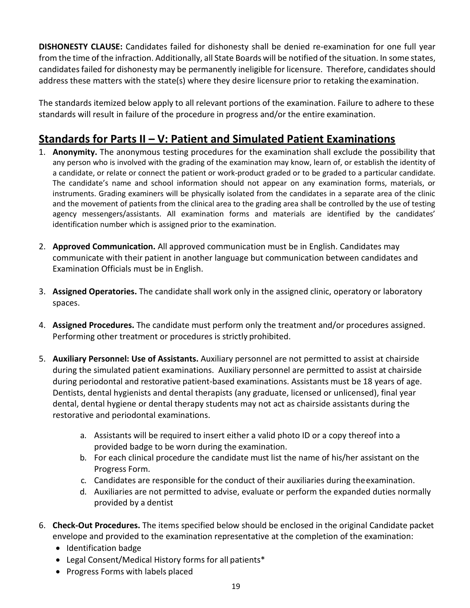**DISHONESTY CLAUSE:** Candidates failed for dishonesty shall be denied re-examination for one full year from the time of the infraction. Additionally, all State Boards will be notified of the situation. In some states, candidates failed for dishonesty may be permanently ineligible for licensure. Therefore, candidates should address these matters with the state(s) where they desire licensure prior to retaking theexamination.

The standards itemized below apply to all relevant portions of the examination. Failure to adhere to these standards will result in failure of the procedure in progress and/or the entire examination.

## **Standards for Parts II – V: Patient and Simulated Patient Examinations**

- 1. **Anonymity.** The anonymous testing procedures for the examination shall exclude the possibility that any person who is involved with the grading of the examination may know, learn of, or establish the identity of a candidate, or relate or connect the patient or work-product graded or to be graded to a particular candidate. The candidate's name and school information should not appear on any examination forms, materials, or instruments. Grading examiners will be physically isolated from the candidates in a separate area of the clinic and the movement of patients from the clinical area to the grading area shall be controlled by the use of testing agency messengers/assistants. All examination forms and materials are identified by the candidates' identification number which is assigned prior to the examination.
- 2. **Approved Communication.** All approved communication must be in English. Candidates may communicate with their patient in another language but communication between candidates and Examination Officials must be in English.
- 3. **Assigned Operatories.** The candidate shall work only in the assigned clinic, operatory or laboratory spaces.
- 4. **Assigned Procedures.** The candidate must perform only the treatment and/or procedures assigned. Performing other treatment or procedures is strictly prohibited.
- 5. **Auxiliary Personnel: Use of Assistants.** Auxiliary personnel are not permitted to assist at chairside during the simulated patient examinations. Auxiliary personnel are permitted to assist at chairside during periodontal and restorative patient-based examinations. Assistants must be 18 years of age. Dentists, dental hygienists and dental therapists (any graduate, licensed or unlicensed), final year dental, dental hygiene or dental therapy students may not act as chairside assistants during the restorative and periodontal examinations.
	- a. Assistants will be required to insert either a valid photo ID or a copy thereof into a provided badge to be worn during the examination.
	- b. For each clinical procedure the candidate must list the name of his/her assistant on the Progress Form.
	- c. Candidates are responsible for the conduct of their auxiliaries during theexamination.
	- d. Auxiliaries are not permitted to advise, evaluate or perform the expanded duties normally provided by a dentist
- 6. **Check-Out Procedures.** The items specified below should be enclosed in the original Candidate packet envelope and provided to the examination representative at the completion of the examination:
	- Identification badge
	- Legal Consent/Medical History forms for all patients\*
	- Progress Forms with labels placed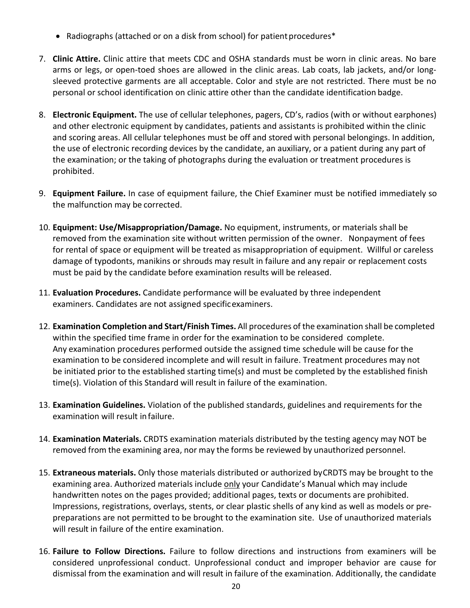- Radiographs (attached or on a disk from school) for patient procedures\*
- 7. **Clinic Attire.** Clinic attire that meets CDC and OSHA standards must be worn in clinic areas. No bare arms or legs, or open-toed shoes are allowed in the clinic areas. Lab coats, lab jackets, and/or longsleeved protective garments are all acceptable. Color and style are not restricted. There must be no personal or school identification on clinic attire other than the candidate identification badge.
- 8. **Electronic Equipment.** The use of cellular telephones, pagers, CD's, radios (with or without earphones) and other electronic equipment by candidates, patients and assistants is prohibited within the clinic and scoring areas. All cellular telephones must be off and stored with personal belongings. In addition, the use of electronic recording devices by the candidate, an auxiliary, or a patient during any part of the examination; or the taking of photographs during the evaluation or treatment procedures is prohibited.
- 9. **Equipment Failure.** In case of equipment failure, the Chief Examiner must be notified immediately so the malfunction may be corrected.
- 10. **Equipment: Use/Misappropriation/Damage.** No equipment, instruments, or materials shall be removed from the examination site without written permission of the owner. Nonpayment of fees for rental of space or equipment will be treated as misappropriation of equipment. Willful or careless damage of typodonts, manikins or shrouds may result in failure and any repair or replacement costs must be paid by the candidate before examination results will be released.
- 11. **Evaluation Procedures.** Candidate performance will be evaluated by three independent examiners. Candidates are not assigned specificexaminers.
- 12. **Examination Completion and Start/Finish Times.** All procedures of the examination shall be completed within the specified time frame in order for the examination to be considered complete. Any examination procedures performed outside the assigned time schedule will be cause for the examination to be considered incomplete and will result in failure. Treatment procedures may not be initiated prior to the established starting time(s) and must be completed by the established finish time(s). Violation of this Standard will result in failure of the examination.
- 13. **Examination Guidelines.** Violation of the published standards, guidelines and requirements for the examination will result infailure.
- 14. **Examination Materials.** CRDTS examination materials distributed by the testing agency may NOT be removed from the examining area, nor may the forms be reviewed by unauthorized personnel.
- 15. **Extraneous materials.** Only those materials distributed or authorized byCRDTS may be brought to the examining area. Authorized materials include *only* your Candidate's Manual which may include handwritten notes on the pages provided; additional pages, texts or documents are prohibited. Impressions, registrations, overlays, stents, or clear plastic shells of any kind as well as models or prepreparations are not permitted to be brought to the examination site. Use of unauthorized materials will result in failure of the entire examination.
- 16. **Failure to Follow Directions.** Failure to follow directions and instructions from examiners will be considered unprofessional conduct. Unprofessional conduct and improper behavior are cause for dismissal from the examination and will result in failure of the examination. Additionally, the candidate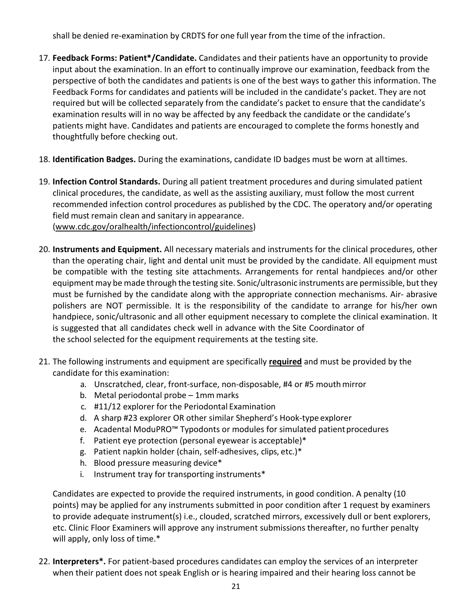shall be denied re-examination by CRDTS for one full year from the time of the infraction.

- 17. **Feedback Forms: Patient\*/Candidate.** Candidates and their patients have an opportunity to provide input about the examination. In an effort to continually improve our examination, feedback from the perspective of both the candidates and patients is one of the best ways to gather this information. The Feedback Forms for candidates and patients will be included in the candidate's packet. They are not required but will be collected separately from the candidate's packet to ensure that the candidate's examination results will in no way be affected by any feedback the candidate or the candidate's patients might have. Candidates and patients are encouraged to complete the forms honestly and thoughtfully before checking out.
- 18. **Identification Badges.** During the examinations, candidate ID badges must be worn at alltimes.
- 19. **Infection Control Standards.** During all patient treatment procedures and during simulated patient clinical procedures, the candidate, as well as the assisting auxiliary, must follow the most current recommended infection control procedures as published by the CDC. The operatory and/or operating field must remain clean and sanitary in appearance. [\(www.cdc.gov/oralhealth/infectioncontrol/guidelines\)](http://www.cdc.gov/oralhealth/infectioncontrol/guidelines)
- 20. **Instruments and Equipment.** All necessary materials and instruments for the clinical procedures, other than the operating chair, light and dental unit must be provided by the candidate. All equipment must be compatible with the testing site attachments. Arrangements for rental handpieces and/or other equipment may be made through the testing site. Sonic/ultrasonic instruments are permissible, but they must be furnished by the candidate along with the appropriate connection mechanisms. Air- abrasive polishers are NOT permissible. It is the responsibility of the candidate to arrange for his/her own handpiece, sonic/ultrasonic and all other equipment necessary to complete the clinical examination. It is suggested that all candidates check well in advance with the Site Coordinator of the school selected for the equipment requirements at the testing site.
- 21. The following instruments and equipment are specifically **required** and must be provided by the candidate for this examination:
	- a. Unscratched, clear, front-surface, non-disposable, #4 or #5 mouth mirror
	- b. Metal periodontal probe 1mm marks
	- c. #11/12 explorer for the Periodontal Examination
	- d. A sharp #23 explorer OR other similar Shepherd's Hook-type explorer
	- e. Acadental ModuPRO™ Typodonts or modules for simulated patient procedures
	- f. Patient eye protection (personal eyewear is acceptable)\*
	- g. Patient napkin holder (chain, self-adhesives, clips, etc.)\*
	- h. Blood pressure measuring device\*
	- i. Instrument tray for transporting instruments\*

Candidates are expected to provide the required instruments, in good condition. A penalty (10 points) may be applied for any instruments submitted in poor condition after 1 request by examiners to provide adequate instrument(s) i.e., clouded, scratched mirrors, excessively dull or bent explorers, etc. Clinic Floor Examiners will approve any instrument submissions thereafter, no further penalty will apply, only loss of time.\*

22. **Interpreters\*.** For patient-based procedures candidates can employ the services of an interpreter when their patient does not speak English or is hearing impaired and their hearing loss cannot be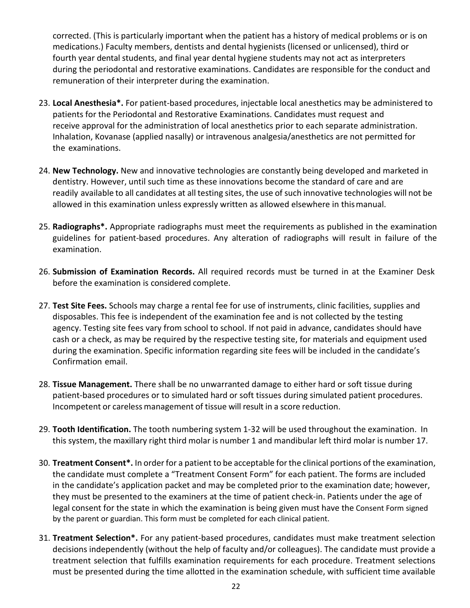corrected. (This is particularly important when the patient has a history of medical problems or is on medications.) Faculty members, dentists and dental hygienists (licensed or unlicensed), third or fourth year dental students, and final year dental hygiene students may not act as interpreters during the periodontal and restorative examinations. Candidates are responsible for the conduct and remuneration of their interpreter during the examination.

- 23. **Local Anesthesia\*.** For patient-based procedures, injectable local anesthetics may be administered to patients for the Periodontal and Restorative Examinations. Candidates must request and receive approval for the administration of local anesthetics prior to each separate administration. Inhalation, Kovanase (applied nasally) or intravenous analgesia/anesthetics are not permitted for the examinations.
- 24. **New Technology.** New and innovative technologies are constantly being developed and marketed in dentistry. However, until such time as these innovations become the standard of care and are readily available to all candidates at all testing sites, the use of such innovative technologies will not be allowed in this examination unless expressly written as allowed elsewhere in thismanual.
- 25. **Radiographs\*.** Appropriate radiographs must meet the requirements as published in the examination guidelines for patient-based procedures. Any alteration of radiographs will result in failure of the examination.
- 26. **Submission of Examination Records.** All required records must be turned in at the Examiner Desk before the examination is considered complete.
- 27. **Test Site Fees.** Schools may charge a rental fee for use of instruments, clinic facilities, supplies and disposables. This fee is independent of the examination fee and is not collected by the testing agency. Testing site fees vary from school to school. If not paid in advance, candidates should have cash or a check, as may be required by the respective testing site, for materials and equipment used during the examination. Specific information regarding site fees will be included in the candidate's Confirmation email.
- 28. **Tissue Management.** There shall be no unwarranted damage to either hard or soft tissue during patient-based procedures or to simulated hard or soft tissues during simulated patient procedures. Incompetent or carelessmanagement of tissue will result in a score reduction.
- 29. **Tooth Identification.** The tooth numbering system 1-32 will be used throughout the examination. In this system, the maxillary right third molar is number 1 and mandibular left third molar is number 17.
- 30. **Treatment Consent\*.** In orderfor a patient to be acceptable forthe clinical portions of the examination, the candidate must complete a "Treatment Consent Form" for each patient. The forms are included in the candidate's application packet and may be completed prior to the examination date; however, they must be presented to the examiners at the time of patient check-in. Patients under the age of legal consent for the state in which the examination is being given must have the Consent Form signed by the parent or guardian. This form must be completed for each clinical patient.
- 31. **Treatment Selection\*.** For any patient-based procedures, candidates must make treatment selection decisions independently (without the help of faculty and/or colleagues). The candidate must provide a treatment selection that fulfills examination requirements for each procedure. Treatment selections must be presented during the time allotted in the examination schedule, with sufficient time available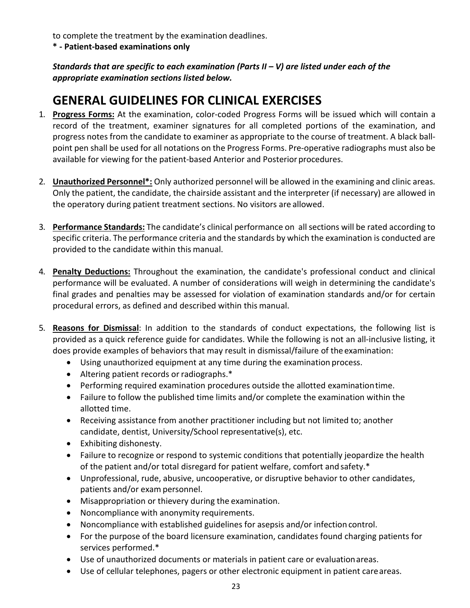to complete the treatment by the examination deadlines.

**\* - Patient-based examinations only**

*Standards that are specific to each examination (Parts II – V) are listed under each of the appropriate examination sections listed below.*

## **GENERAL GUIDELINES FOR CLINICAL EXERCISES**

- <span id="page-25-0"></span>1. **Progress Forms:** At the examination, color-coded Progress Forms will be issued which will contain a record of the treatment, examiner signatures for all completed portions of the examination, and progress notes from the candidate to examiner as appropriate to the course of treatment. A black ballpoint pen shall be used for all notations on the Progress Forms. Pre-operative radiographs must also be available for viewing for the patient-based Anterior and Posterior procedures.
- 2. **Unauthorized Personnel\*:** Only authorized personnel will be allowed in the examining and clinic areas. Only the patient, the candidate, the chairside assistant and the interpreter (if necessary) are allowed in the operatory during patient treatment sections. No visitors are allowed.
- 3. **Performance Standards:** The candidate's clinical performance on allsections will be rated according to specific criteria. The performance criteria and the standards by which the examination is conducted are provided to the candidate within this manual.
- 4. **Penalty Deductions:** Throughout the examination, the candidate's professional conduct and clinical performance will be evaluated. A number of considerations will weigh in determining the candidate's final grades and penalties may be assessed for violation of examination standards and/or for certain procedural errors, as defined and described within this manual.
- 5. **Reasons for Dismissal**: In addition to the standards of conduct expectations, the following list is provided as a quick reference guide for candidates. While the following is not an all-inclusive listing, it does provide examples of behaviors that may result in dismissal/failure of the examination:
	- Using unauthorized equipment at any time during the examination process.
	- Altering patient records or radiographs.\*
	- Performing required examination procedures outside the allotted examinationtime.
	- Failure to follow the published time limits and/or complete the examination within the allotted time.
	- Receiving assistance from another practitioner including but not limited to; another candidate, dentist, University/School representative(s), etc.
	- Exhibiting dishonesty.
	- Failure to recognize or respond to systemic conditions that potentially jeopardize the health of the patient and/or total disregard for patient welfare, comfort and safety.\*
	- Unprofessional, rude, abusive, uncooperative, or disruptive behavior to other candidates, patients and/or exam personnel.
	- Misappropriation or thievery during the examination.
	- Noncompliance with anonymity requirements.
	- Noncompliance with established guidelines for asepsis and/or infection control.
	- For the purpose of the board licensure examination, candidates found charging patients for services performed.\*
	- Use of unauthorized documents or materials in patient care or evaluationareas.
	- Use of cellular telephones, pagers or other electronic equipment in patient careareas.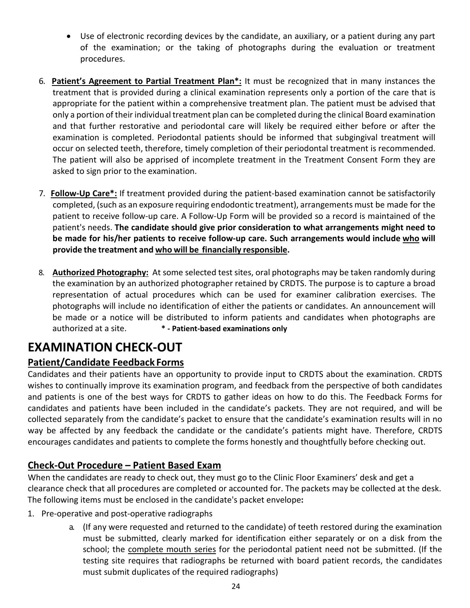- Use of electronic recording devices by the candidate, an auxiliary, or a patient during any part of the examination; or the taking of photographs during the evaluation or treatment procedures.
- 6. **Patient's Agreement to Partial Treatment Plan\*:** It must be recognized that in many instances the treatment that is provided during a clinical examination represents only a portion of the care that is appropriate for the patient within a comprehensive treatment plan. The patient must be advised that only a portion of theirindividual treatment plan can be completed during the clinical Board examination and that further restorative and periodontal care will likely be required either before or after the examination is completed. Periodontal patients should be informed that subgingival treatment will occur on selected teeth, therefore, timely completion of their periodontal treatment is recommended. The patient will also be apprised of incomplete treatment in the Treatment Consent Form they are asked to sign prior to the examination.
- 7. **Follow-Up Care\*:** If treatment provided during the patient-based examination cannot be satisfactorily completed, (such as an exposure requiring endodontic treatment), arrangements must be made for the patient to receive follow-up care. A Follow-Up Form will be provided so a record is maintained of the patient's needs. **The candidate should give prior consideration to what arrangements might need to be made for his/her patients to receive follow-up care. Such arrangements would include who will provide the treatment and who will be financially responsible.**
- 8. **Authorized Photography:** At some selected test sites, oral photographs may be taken randomly during the examination by an authorized photographer retained by CRDTS. The purpose is to capture a broad representation of actual procedures which can be used for examiner calibration exercises. The photographs will include no identification of either the patients or candidates. An announcement will be made or a notice will be distributed to inform patients and candidates when photographs are authorized at a site. **\* - Patient-based examinations only**

## **EXAMINATION CHECK-OUT**

### **Patient/Candidate Feedback Forms**

Candidates and their patients have an opportunity to provide input to CRDTS about the examination. CRDTS wishes to continually improve its examination program, and feedback from the perspective of both candidates and patients is one of the best ways for CRDTS to gather ideas on how to do this. The Feedback Forms for candidates and patients have been included in the candidate's packets. They are not required, and will be collected separately from the candidate's packet to ensure that the candidate's examination results will in no way be affected by any feedback the candidate or the candidate's patients might have. Therefore, CRDTS encourages candidates and patients to complete the forms honestly and thoughtfully before checking out.

### **Check-Out Procedure – Patient Based Exam**

When the candidates are ready to check out, they must go to the Clinic Floor Examiners' desk and get a clearance check that all procedures are completed or accounted for. The packets may be collected at the desk. The following items must be enclosed in the candidate's packet envelope**:**

- 1. Pre-operative and post-operative radiographs
	- a. (If any were requested and returned to the candidate) of teeth restored during the examination must be submitted, clearly marked for identification either separately or on a disk from the school; the complete mouth series for the periodontal patient need not be submitted. (If the testing site requires that radiographs be returned with board patient records, the candidates must submit duplicates of the required radiographs)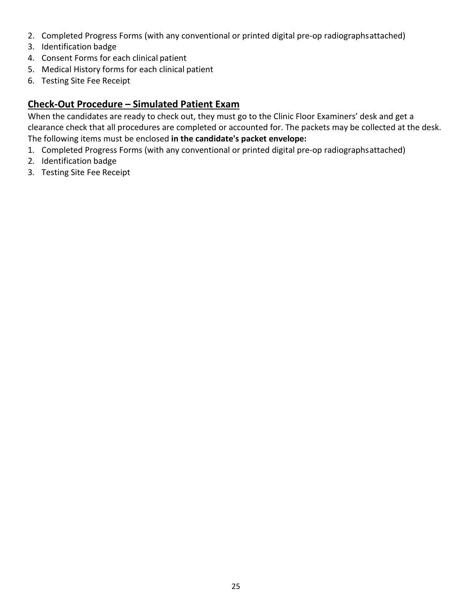- 2. Completed Progress Forms (with any conventional or printed digital pre-op radiographsattached)
- 3. Identification badge
- 4. Consent Forms for each clinical patient
- 5. Medical History forms for each clinical patient
- 6. Testing Site Fee Receipt

### **Check-Out Procedure – Simulated Patient Exam**

When the candidates are ready to check out, they must go to the Clinic Floor Examiners' desk and get a clearance check that all procedures are completed or accounted for. The packets may be collected at the desk. The following items must be enclosed **in the candidate's packet envelope:**

- 1. Completed Progress Forms (with any conventional or printed digital pre-op radiographsattached)
- 2. Identification badge
- 3. Testing Site Fee Receipt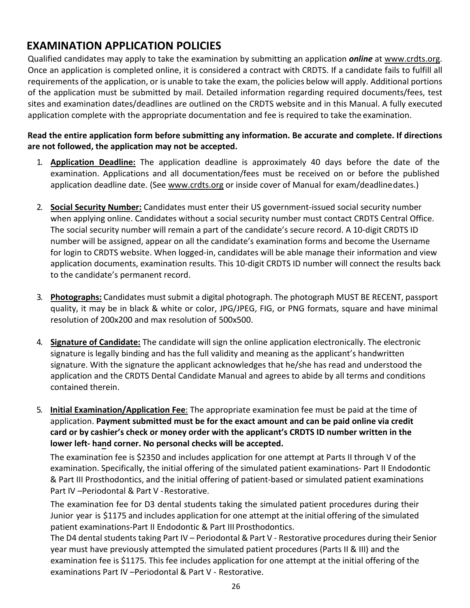## **EXAMINATION APPLICATION POLICIES**

Qualified candidates may apply to take the examination by submitting an application *online* at [www.crdts.org.](http://www.crdts.org/) Once an application is completed online, it is considered a contract with CRDTS. If a candidate fails to fulfill all requirements of the application, or is unable to take the exam, the policies below will apply. Additional portions of the application must be submitted by mail. Detailed information regarding required documents/fees, test sites and examination dates/deadlines are outlined on the CRDTS website and in this Manual. A fully executed application complete with the appropriate documentation and fee is required to take the examination.

#### **Read the entire application form before submitting any information. Be accurate and complete. If directions are not followed, the application may not be accepted.**

- 1. **Application Deadline:** The application deadline is approximately 40 days before the date of the examination. Applications and all documentation/fees must be received on or before the published application deadline date. (See [www.crdts.org](http://www.crdts.org/) or inside cover of Manual for exam/deadlinedates.)
- 2. **Social Security Number:** Candidates must enter their US government-issued social security number when applying online. Candidates without a social security number must contact CRDTS Central Office. The social security number will remain a part of the candidate's secure record. A 10-digit CRDTS ID number will be assigned, appear on all the candidate's examination forms and become the Username for login to CRDTS website. When logged-in, candidates will be able manage their information and view application documents, examination results. This 10-digit CRDTS ID number will connect the results back to the candidate's permanent record.
- 3. **Photographs:** Candidates must submit a digital photograph. The photograph MUST BE RECENT, passport quality, it may be in black & white or color, JPG/JPEG, FIG, or PNG formats, square and have minimal resolution of 200x200 and max resolution of 500x500.
- 4. **Signature of Candidate:** The candidate will sign the online application electronically. The electronic signature is legally binding and has the full validity and meaning as the applicant's handwritten signature. With the signature the applicant acknowledges that he/she has read and understood the application and the CRDTS Dental Candidate Manual and agrees to abide by all terms and conditions contained therein.
- 5. **Initial Examination/Application Fee**: The appropriate examination fee must be paid at the time of application. **Payment submitted must be for the exact amount and can be paid online via credit card or by cashier's check or money order with the applicant's CRDTS ID number written in the lower left- hand corner. No personal checks will be accepted.**

The examination fee is \$2350 and includes application for one attempt at Parts II through V of the examination. Specifically, the initial offering of the simulated patient examinations- Part II Endodontic & Part III Prosthodontics, and the initial offering of patient-based or simulated patient examinations Part IV –Periodontal & Part V -Restorative.

The examination fee for D3 dental students taking the simulated patient procedures during their Junior year is \$1175 and includes application for one attempt at the initial offering of the simulated patient examinations-Part II Endodontic & Part III Prosthodontics.

The D4 dental students taking Part IV – Periodontal & Part V - Restorative procedures during their Senior year must have previously attempted the simulated patient procedures (Parts II & III) and the examination fee is \$1175. This fee includes application for one attempt at the initial offering of the examinations Part IV –Periodontal & Part V - Restorative.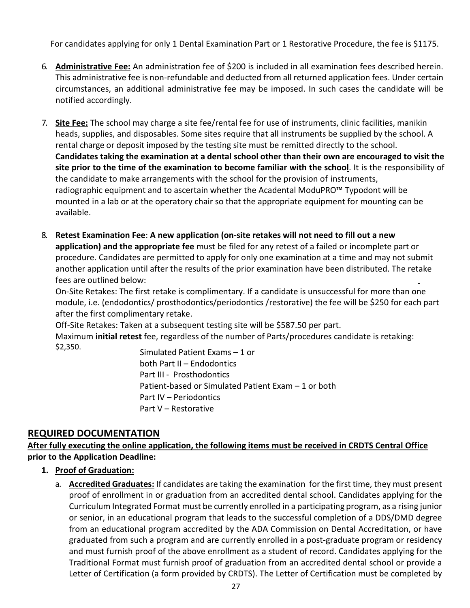For candidates applying for only 1 Dental Examination Part or 1 Restorative Procedure, the fee is \$1175.

- 6. **Administrative Fee:** An administration fee of \$200 is included in all examination fees described herein. This administrative fee is non-refundable and deducted from all returned application fees. Under certain circumstances, an additional administrative fee may be imposed. In such cases the candidate will be notified accordingly.
- 7. **Site Fee:** The school may charge a site fee/rental fee for use of instruments, clinic facilities, manikin heads, supplies, and disposables. Some sites require that all instruments be supplied by the school. A rental charge or deposit imposed by the testing site must be remitted directly to the school. **Candidates taking the examination at a dental school other than their own are encouraged to visit the site prior to the time of the examination to become familiar with the school**. It is the responsibility of the candidate to make arrangements with the school for the provision of instruments, radiographic equipment and to ascertain whether the Acadental ModuPRO™ Typodont will be mounted in a lab or at the operatory chair so that the appropriate equipment for mounting can be available.
- 8. **Retest Examination Fee**: **A new application (on-site retakes will not need to fill out a new application) and the appropriate fee** must be filed for any retest of a failed or incomplete part or procedure. Candidates are permitted to apply for only one examination at a time and may not submit another application until after the results of the prior examination have been distributed. The retake fees are outlined below:

On-Site Retakes: The first retake is complimentary. If a candidate is unsuccessful for more than one module, i.e. (endodontics/ prosthodontics/periodontics /restorative) the fee will be \$250 for each part after the first complimentary retake.

Off-Site Retakes: Taken at a subsequent testing site will be \$587.50 per part.

Maximum **initial retest** fee, regardless of the number of Parts/procedures candidate is retaking: \$2,350. Simulated Patient Exams – 1 or

both Part II – Endodontics Part III - Prosthodontics Patient-based or Simulated Patient Exam – 1 or both Part IV – Periodontics Part V – Restorative

#### <span id="page-29-0"></span>**REQUIRED DOCUMENTATION**

#### **After fully executing the online application, the following items must be received in CRDTS Central Office prior to the Application Deadline:**

#### **1. Proof of Graduation:**

a. **Accredited Graduates:** If candidates are taking the examination for the first time, they must present proof of enrollment in or graduation from an accredited dental school. Candidates applying for the Curriculum Integrated Format must be currently enrolled in a participating program, as a rising junior or senior, in an educational program that leads to the successful completion of a DDS/DMD degree from an educational program accredited by the ADA Commission on Dental Accreditation, or have graduated from such a program and are currently enrolled in a post-graduate program or residency and must furnish proof of the above enrollment as a student of record. Candidates applying for the Traditional Format must furnish proof of graduation from an accredited dental school or provide a Letter of Certification (a form provided by CRDTS). The Letter of Certification must be completed by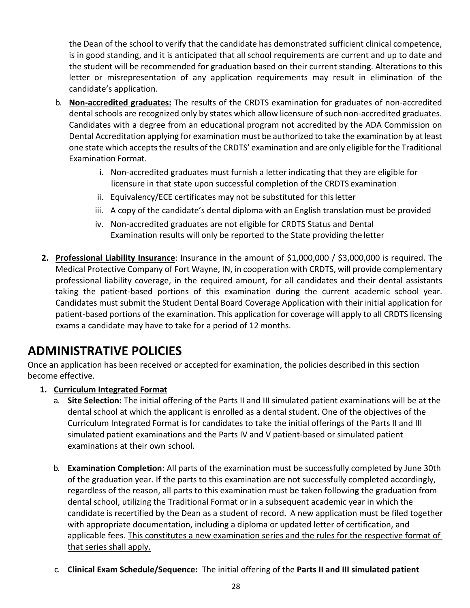the Dean of the school to verify that the candidate has demonstrated sufficient clinical competence, is in good standing, and it is anticipated that all school requirements are current and up to date and the student will be recommended for graduation based on their current standing. Alterations to this letter or misrepresentation of any application requirements may result in elimination of the candidate's application.

- b. **Non-accredited graduates:** The results of the CRDTS examination for graduates of non-accredited dental schools are recognized only by states which allow licensure of such non-accredited graduates. Candidates with a degree from an educational program not accredited by the ADA Commission on Dental Accreditation applying for examination must be authorized to take the examination by at least one state which accepts the results of the CRDTS' examination and are only eligible for the Traditional Examination Format.
	- i. Non-accredited graduates must furnish a letter indicating that they are eligible for licensure in that state upon successful completion of the CRDTS examination
	- ii. Equivalency/ECE certificates may not be substituted for thisletter
	- iii. A copy of the candidate's dental diploma with an English translation must be provided
	- iv. Non-accredited graduates are not eligible for CRDTS Status and Dental Examination results will only be reported to the State providing the letter
- **2. Professional Liability Insurance**: Insurance in the amount of \$1,000,000 / \$3,000,000 is required. The Medical Protective Company of Fort Wayne, IN, in cooperation with CRDTS, will provide complementary professional liability coverage, in the required amount, for all candidates and their dental assistants taking the patient-based portions of this examination during the current academic school year. Candidates must submit the Student Dental Board Coverage Application with their initial application for patient-based portions of the examination. This application for coverage will apply to all CRDTS licensing exams a candidate may have to take for a period of 12 months.

## <span id="page-30-0"></span>**ADMINISTRATIVE POLICIES**

Once an application has been received or accepted for examination, the policies described in this section become effective.

- **1. Curriculum Integrated Format**
	- a. **Site Selection:** The initial offering of the Parts II and III simulated patient examinations will be at the dental school at which the applicant is enrolled as a dental student. One of the objectives of the Curriculum Integrated Format is for candidates to take the initial offerings of the Parts II and III simulated patient examinations and the Parts IV and V patient-based or simulated patient examinations at their own school.
	- b. **Examination Completion:** All parts of the examination must be successfully completed by June 30th of the graduation year. If the parts to this examination are not successfully completed accordingly, regardless of the reason, all parts to this examination must be taken following the graduation from dental school, utilizing the Traditional Format or in a subsequent academic year in which the candidate is recertified by the Dean as a student of record. A new application must be filed together with appropriate documentation, including a diploma or updated letter of certification, and applicable fees. This constitutes a new examination series and the rules for the respective format of that series shall apply.
	- c. **Clinical Exam Schedule/Sequence:** The initial offering of the **Parts II and III simulated patient**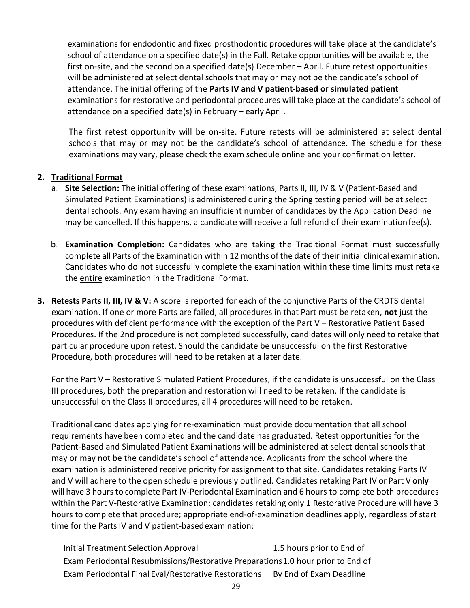examinations for endodontic and fixed prosthodontic procedures will take place at the candidate's school of attendance on a specified date(s) in the Fall. Retake opportunities will be available, the first on-site, and the second on a specified date(s) December – April. Future retest opportunities will be administered at select dental schools that may or may not be the candidate's school of attendance. The initial offering of the **Parts IV and V patient-based or simulated patient**  examinations for restorative and periodontal procedures will take place at the candidate's school of attendance on a specified date(s) in February – early April.

The first retest opportunity will be on-site. Future retests will be administered at select dental schools that may or may not be the candidate's school of attendance. The schedule for these examinations may vary, please check the exam schedule online and your confirmation letter.

#### **2. Traditional Format**

- a. **Site Selection:** The initial offering of these examinations, Parts II, III, IV & V (Patient-Based and Simulated Patient Examinations) is administered during the Spring testing period will be at select dental schools. Any exam having an insufficient number of candidates by the Application Deadline may be cancelled. If this happens, a candidate will receive a full refund of their examinationfee(s).
- b. **Examination Completion:** Candidates who are taking the Traditional Format must successfully complete all Parts of the Examination within 12 months of the date of their initial clinical examination. Candidates who do not successfully complete the examination within these time limits must retake the entire examination in the Traditional Format.
- **3. Retests Parts II, III, IV & V:** A score is reported for each of the conjunctive Parts of the CRDTS dental examination. If one or more Parts are failed, all procedures in that Part must be retaken, **not** just the procedures with deficient performance with the exception of the Part V – Restorative Patient Based Procedures. If the 2nd procedure is not completed successfully, candidates will only need to retake that particular procedure upon retest. Should the candidate be unsuccessful on the first Restorative Procedure, both procedures will need to be retaken at a later date.

For the Part V – Restorative Simulated Patient Procedures, if the candidate is unsuccessful on the Class III procedures, both the preparation and restoration will need to be retaken. If the candidate is unsuccessful on the Class II procedures, all 4 procedures will need to be retaken.

Traditional candidates applying for re-examination must provide documentation that all school requirements have been completed and the candidate has graduated. Retest opportunities for the Patient-Based and Simulated Patient Examinations will be administered at select dental schools that may or may not be the candidate's school of attendance. Applicants from the school where the examination is administered receive priority for assignment to that site. Candidates retaking Parts IV and V will adhere to the open schedule previously outlined. Candidates retaking Part IV or Part V **only** will have 3 hours to complete Part IV-Periodontal Examination and 6 hours to complete both procedures within the Part V-Restorative Examination; candidates retaking only 1 Restorative Procedure will have 3 hours to complete that procedure; appropriate end-of-examination deadlines apply, regardless of start time for the Parts IV and V patient-basedexamination:

Initial Treatment Selection Approval 1.5 hours prior to End of Exam Periodontal Resubmissions/Restorative Preparations1.0 hour prior to End of Exam Periodontal Final Eval/Restorative Restorations By End of Exam Deadline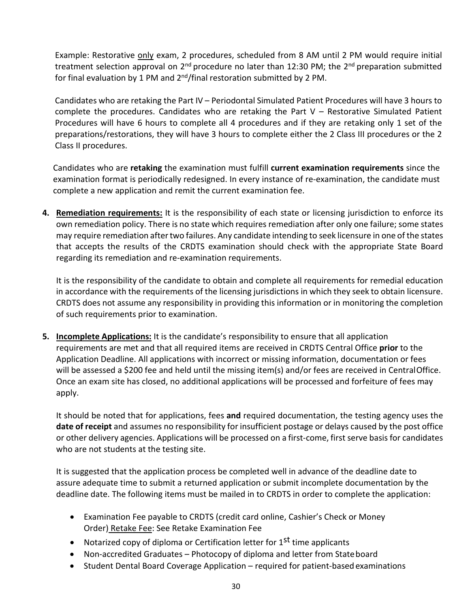Example: Restorative only exam, 2 procedures, scheduled from 8 AM until 2 PM would require initial treatment selection approval on  $2^{nd}$  procedure no later than 12:30 PM; the  $2^{nd}$  preparation submitted for final evaluation by 1 PM and  $2<sup>nd</sup>/final$  restoration submitted by 2 PM.

Candidates who are retaking the Part IV – Periodontal Simulated Patient Procedures will have 3 hours to complete the procedures. Candidates who are retaking the Part V – Restorative Simulated Patient Procedures will have 6 hours to complete all 4 procedures and if they are retaking only 1 set of the preparations/restorations, they will have 3 hours to complete either the 2 Class III procedures or the 2 Class II procedures.

Candidates who are **retaking** the examination must fulfill **current examination requirements** since the examination format is periodically redesigned. In every instance of re-examination, the candidate must complete a new application and remit the current examination fee.

**4. Remediation requirements:** It is the responsibility of each state or licensing jurisdiction to enforce its own remediation policy. There is no state which requires remediation after only one failure; some states may require remediation aftertwo failures. Any candidate intending to seek licensure in one of the states that accepts the results of the CRDTS examination should check with the appropriate State Board regarding its remediation and re-examination requirements.

It is the responsibility of the candidate to obtain and complete all requirements for remedial education in accordance with the requirements of the licensing jurisdictions in which they seek to obtain licensure. CRDTS does not assume any responsibility in providing this information or in monitoring the completion of such requirements prior to examination.

**5. Incomplete Applications:** It is the candidate's responsibility to ensure that all application requirements are met and that all required items are received in CRDTS Central Office **prior** to the Application Deadline. All applications with incorrect or missing information, documentation or fees will be assessed a \$200 fee and held until the missing item(s) and/or fees are received in Central Office. Once an exam site has closed, no additional applications will be processed and forfeiture of fees may apply.

It should be noted that for applications, fees **and** required documentation, the testing agency uses the **date of receipt** and assumes no responsibility for insufficient postage or delays caused by the post office or other delivery agencies. Applications will be processed on a first-come, first serve basis for candidates who are not students at the testing site.

It is suggested that the application process be completed well in advance of the deadline date to assure adequate time to submit a returned application or submit incomplete documentation by the deadline date. The following items must be mailed in to CRDTS in order to complete the application:

- Examination Fee payable to CRDTS (credit card online, Cashier's Check or Money Order) Retake Fee: See Retake Examination Fee
- Notarized copy of diploma or Certification letter for  $1<sup>st</sup>$  time applicants
- Non-accredited Graduates Photocopy of diploma and letter from Stateboard
- Student Dental Board Coverage Application required for patient-based examinations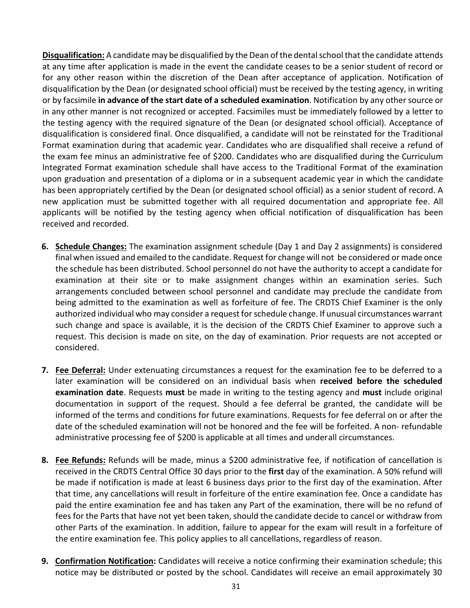**Disqualification:** A candidate may be disqualified by the Dean of the dental school that the candidate attends at any time after application is made in the event the candidate ceases to be a senior student of record or for any other reason within the discretion of the Dean after acceptance of application. Notification of disqualification by the Dean (or designated school official) must be received by the testing agency, in writing or by facsimile **in advance of the start date of a scheduled examination**. Notification by any other source or in any other manner is not recognized or accepted. Facsimiles must be immediately followed by a letter to the testing agency with the required signature of the Dean (or designated school official). Acceptance of disqualification is considered final. Once disqualified, a candidate will not be reinstated for the Traditional Format examination during that academic year. Candidates who are disqualified shall receive a refund of the exam fee minus an administrative fee of \$200. Candidates who are disqualified during the Curriculum Integrated Format examination schedule shall have access to the Traditional Format of the examination upon graduation and presentation of a diploma or in a subsequent academic year in which the candidate has been appropriately certified by the Dean (or designated school official) as a senior student of record. A new application must be submitted together with all required documentation and appropriate fee. All applicants will be notified by the testing agency when official notification of disqualification has been received and recorded.

- **6. Schedule Changes:** The examination assignment schedule (Day 1 and Day 2 assignments) is considered final when issued and emailed to the candidate. Request for change will not be considered or made once the schedule has been distributed. School personnel do not have the authority to accept a candidate for examination at their site or to make assignment changes within an examination series. Such arrangements concluded between school personnel and candidate may preclude the candidate from being admitted to the examination as well as forfeiture of fee. The CRDTS Chief Examiner is the only authorized individual who may consider a request for schedule change. If unusual circumstances warrant such change and space is available, it is the decision of the CRDTS Chief Examiner to approve such a request. This decision is made on site, on the day of examination. Prior requests are not accepted or considered.
- **7. Fee Deferral:** Under extenuating circumstances a request for the examination fee to be deferred to a later examination will be considered on an individual basis when **received before the scheduled examination date**. Requests **must** be made in writing to the testing agency and **must** include original documentation in support of the request. Should a fee deferral be granted, the candidate will be informed of the terms and conditions for future examinations. Requests for fee deferral on or after the date of the scheduled examination will not be honored and the fee will be forfeited. A non- refundable administrative processing fee of \$200 is applicable at all times and underall circumstances.
- **8. Fee Refunds:** Refunds will be made, minus a \$200 administrative fee, if notification of cancellation is received in the CRDTS Central Office 30 days prior to the **first** day of the examination. A 50% refund will be made if notification is made at least 6 business days prior to the first day of the examination. After that time, any cancellations will result in forfeiture of the entire examination fee. Once a candidate has paid the entire examination fee and has taken any Part of the examination, there will be no refund of fees for the Parts that have not yet been taken, should the candidate decide to cancel or withdraw from other Parts of the examination. In addition, failure to appear for the exam will result in a forfeiture of the entire examination fee. This policy applies to all cancellations, regardless of reason.
- **9. Confirmation Notification:** Candidates will receive a notice confirming their examination schedule; this notice may be distributed or posted by the school. Candidates will receive an email approximately 30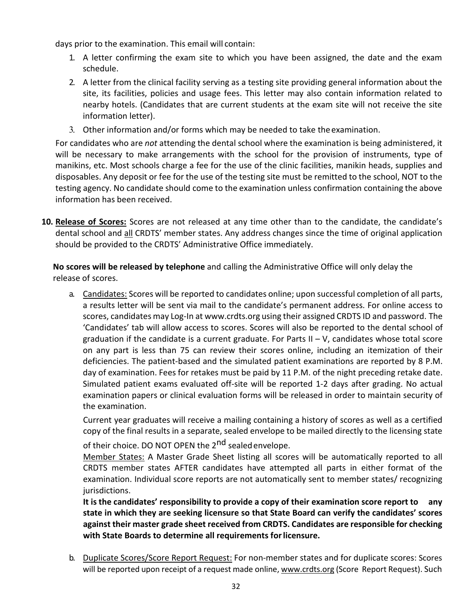days prior to the examination. This email will contain:

- 1. A letter confirming the exam site to which you have been assigned, the date and the exam schedule.
- 2. A letter from the clinical facility serving as a testing site providing general information about the site, its facilities, policies and usage fees. This letter may also contain information related to nearby hotels. (Candidates that are current students at the exam site will not receive the site information letter).
- 3. Other information and/or forms which may be needed to take theexamination.

For candidates who are *not* attending the dental school where the examination is being administered, it will be necessary to make arrangements with the school for the provision of instruments, type of manikins, etc. Most schools charge a fee for the use of the clinic facilities, manikin heads, supplies and disposables. Any deposit or fee for the use of the testing site must be remitted to the school, NOT to the testing agency. No candidate should come to the examination unless confirmation containing the above information has been received.

**10. Release of Scores:** Scores are not released at any time other than to the candidate, the candidate's dental school and all CRDTS' member states. Any address changes since the time of original application should be provided to the CRDTS' Administrative Office immediately.

**No scores will be released by telephone** and calling the Administrative Office will only delay the release of scores.

a. Candidates: Scores will be reported to candidates online; upon successful completion of all parts, a results letter will be sent via mail to the candidate's permanent address. For online access to scores, candidates may Log-In at [www.crdts.org](http://www.crdts.org/) using their assigned CRDTS ID and password. The 'Candidates' tab will allow access to scores. Scores will also be reported to the dental school of graduation if the candidate is a current graduate. For Parts  $II - V$ , candidates whose total score on any part is less than 75 can review their scores online, including an itemization of their deficiencies. The patient-based and the simulated patient examinations are reported by 8 P.M. day of examination. Fees for retakes must be paid by 11 P.M. of the night preceding retake date. Simulated patient exams evaluated off-site will be reported 1-2 days after grading. No actual examination papers or clinical evaluation forms will be released in order to maintain security of the examination.

Current year graduates will receive a mailing containing a history of scores as well as a certified copy of the final results in a separate, sealed envelope to be mailed directly to the licensing state

of their choice. DO NOT OPEN the 2<sup>nd</sup> sealed envelope.

Member States: A Master Grade Sheet listing all scores will be automatically reported to all CRDTS member states AFTER candidates have attempted all parts in either format of the examination. Individual score reports are not automatically sent to member states/ recognizing jurisdictions.

**It is the candidates' responsibility to provide a copy of their examination score report to any state in which they are seeking licensure so that State Board can verify the candidates' scores against their master grade sheet received from CRDTS. Candidates are responsible for checking with State Boards to determine all requirements forlicensure.**

b. Duplicate Scores/Score Report Request: For non-member states and for duplicate scores: Scores will be reported upon receipt of a request made online, [www.crdts.org](http://www.crdts.org/) (Score Report Request). Such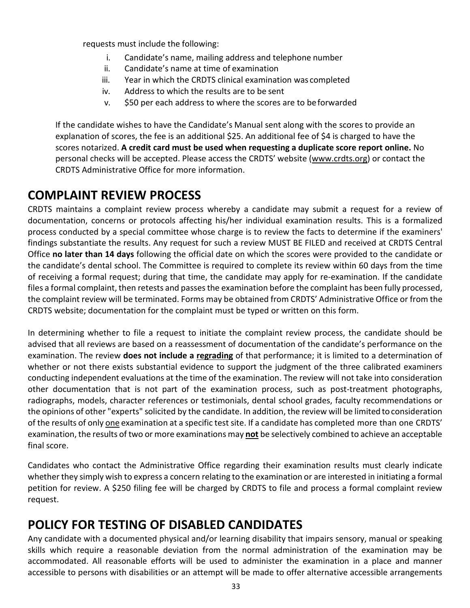requests must include the following:

- i. Candidate's name, mailing address and telephone number
- ii. Candidate's name at time of examination
- iii. Year in which the CRDTS clinical examination was completed
- iv. Address to which the results are to be sent
- v. \$50 per each address to where the scores are to beforwarded

If the candidate wishes to have the Candidate's Manual sent along with the scores to provide an explanation of scores, the fee is an additional \$25. An additional fee of \$4 is charged to have the scores notarized. **A credit card must be used when requesting a duplicate score report online.** No personal checks will be accepted. Please access the CRDTS' website [\(www.crdts.org\)](http://www.crdts.org/) or contact the CRDTS Administrative Office for more information.

## <span id="page-35-0"></span>**COMPLAINT REVIEW PROCESS**

CRDTS maintains a complaint review process whereby a candidate may submit a request for a review of documentation, concerns or protocols affecting his/her individual examination results. This is a formalized process conducted by a special committee whose charge is to review the facts to determine if the examiners' findings substantiate the results. Any request for such a review MUST BE FILED and received at CRDTS Central Office **no later than 14 days** following the official date on which the scores were provided to the candidate or the candidate's dental school. The Committee is required to complete its review within 60 days from the time of receiving a formal request; during that time, the candidate may apply for re-examination. If the candidate files a formal complaint, then retests and passes the examination before the complaint has been fully processed, the complaint review will be terminated. Forms may be obtained from CRDTS' Administrative Office or from the CRDTS website; documentation for the complaint must be typed or written on this form.

In determining whether to file a request to initiate the complaint review process, the candidate should be advised that all reviews are based on a reassessment of documentation of the candidate's performance on the examination. The review **does not include a regrading** of that performance; it is limited to a determination of whether or not there exists substantial evidence to support the judgment of the three calibrated examiners conducting independent evaluations at the time of the examination. The review will not take into consideration other documentation that is not part of the examination process, such as post-treatment photographs, radiographs, models, character references or testimonials, dental school grades, faculty recommendations or the opinions of other "experts" solicited by the candidate. In addition, the review will be limited to consideration of the results of only one examination at a specific testsite. If a candidate has completed more than one CRDTS' examination, the results of two or more examinations may **not** be selectively combined to achieve an acceptable final score.

Candidates who contact the Administrative Office regarding their examination results must clearly indicate whether they simply wish to express a concern relating to the examination or are interested in initiating a formal petition for review. A \$250 filing fee will be charged by CRDTS to file and process a formal complaint review request.

## <span id="page-35-1"></span>**POLICY FOR TESTING OF DISABLED CANDIDATES**

Any candidate with a documented physical and/or learning disability that impairs sensory, manual or speaking skills which require a reasonable deviation from the normal administration of the examination may be accommodated. All reasonable efforts will be used to administer the examination in a place and manner accessible to persons with disabilities or an attempt will be made to offer alternative accessible arrangements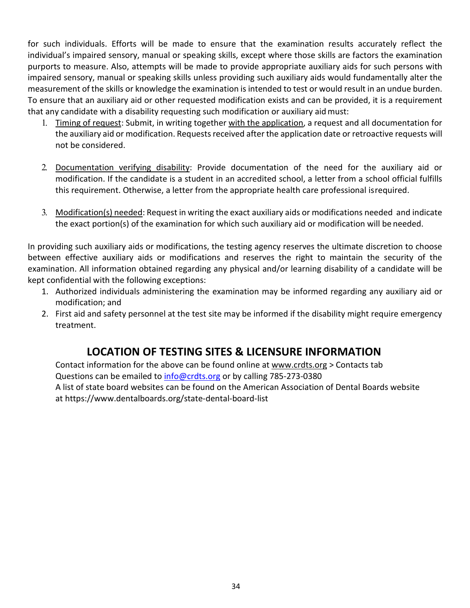for such individuals. Efforts will be made to ensure that the examination results accurately reflect the individual's impaired sensory, manual or speaking skills, except where those skills are factors the examination purports to measure. Also, attempts will be made to provide appropriate auxiliary aids for such persons with impaired sensory, manual or speaking skills unless providing such auxiliary aids would fundamentally alter the measurement of the skills or knowledge the examination is intended to test or would result in an undue burden. To ensure that an auxiliary aid or other requested modification exists and can be provided, it is a requirement that any candidate with a disability requesting such modification or auxiliary aidmust:

- 1. Timing of request: Submit, in writing together with the application, a request and all documentation for the auxiliary aid or modification. Requests received after the application date or retroactive requests will not be considered.
- 2. Documentation verifying disability: Provide documentation of the need for the auxiliary aid or modification. If the candidate is a student in an accredited school, a letter from a school official fulfills this requirement. Otherwise, a letter from the appropriate health care professional isrequired.
- 3. Modification(s) needed: Request in writing the exact auxiliary aids or modifications needed and indicate the exact portion(s) of the examination for which such auxiliary aid or modification will be needed.

In providing such auxiliary aids or modifications, the testing agency reserves the ultimate discretion to choose between effective auxiliary aids or modifications and reserves the right to maintain the security of the examination. All information obtained regarding any physical and/or learning disability of a candidate will be kept confidential with the following exceptions:

- 1. Authorized individuals administering the examination may be informed regarding any auxiliary aid or modification; and
- 2. First aid and safety personnel at the test site may be informed if the disability might require emergency treatment.

### **LOCATION OF TESTING SITES & LICENSURE INFORMATION**

Contact information for the above can be found online at [www.crdts.org](http://www.crdts.org/) > Contacts tab Questions can be emailed t[o info@crdts.org](mailto:info@crdts.org) or by calling 785-273-0380

A list of state board websites can be found on the American Association of Dental Boards website at [https://www.dentalboards.org/stat](http://www.dentalboards.org/state-dental-board-list)e-d[ental-](http://www.dentalboards.org/state-dental-board-list)b[oard-list](http://www.dentalboards.org/state-dental-board-list)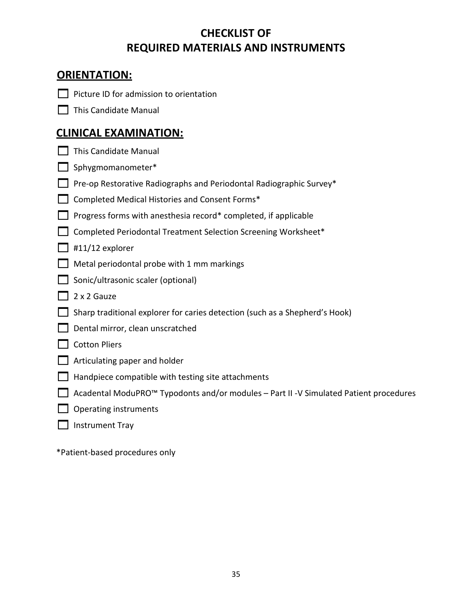## **CHECKLIST OF REQUIRED MATERIALS AND INSTRUMENTS**

### **ORIENTATION:**

- $\Box$  Picture ID for admission to orientation
- This Candidate Manual

### **CLINICAL EXAMINATION:**

| This Candidate Manual                                                                             |
|---------------------------------------------------------------------------------------------------|
| Sphygmomanometer*                                                                                 |
| Pre-op Restorative Radiographs and Periodontal Radiographic Survey*                               |
| Completed Medical Histories and Consent Forms*                                                    |
| Progress forms with anesthesia record* completed, if applicable                                   |
| Completed Periodontal Treatment Selection Screening Worksheet*                                    |
| #11/12 explorer                                                                                   |
| Metal periodontal probe with 1 mm markings                                                        |
| Sonic/ultrasonic scaler (optional)                                                                |
| 2 x 2 Gauze                                                                                       |
| Sharp traditional explorer for caries detection (such as a Shepherd's Hook)                       |
| Dental mirror, clean unscratched                                                                  |
| <b>Cotton Pliers</b>                                                                              |
| Articulating paper and holder                                                                     |
| Handpiece compatible with testing site attachments                                                |
| Acadental ModuPRO <sup>™</sup> Typodonts and/or modules – Part II -V Simulated Patient procedures |
| <b>Operating instruments</b>                                                                      |

**Instrument Tray** 

\*Patient-based procedures only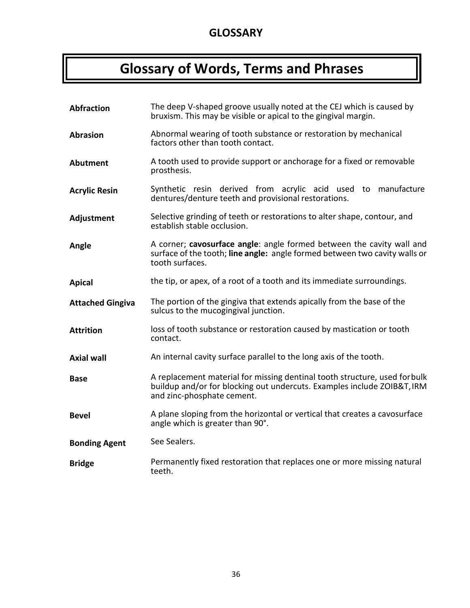### **GLOSSARY**

# **Glossary of Words, Terms and Phrases**

<span id="page-38-0"></span>

| <b>Abfraction</b>       | The deep V-shaped groove usually noted at the CEJ which is caused by<br>bruxism. This may be visible or apical to the gingival margin.                                             |
|-------------------------|------------------------------------------------------------------------------------------------------------------------------------------------------------------------------------|
| <b>Abrasion</b>         | Abnormal wearing of tooth substance or restoration by mechanical<br>factors other than tooth contact.                                                                              |
| <b>Abutment</b>         | A tooth used to provide support or anchorage for a fixed or removable<br>prosthesis.                                                                                               |
| <b>Acrylic Resin</b>    | Synthetic resin derived from acrylic acid used to manufacture<br>dentures/denture teeth and provisional restorations.                                                              |
| Adjustment              | Selective grinding of teeth or restorations to alter shape, contour, and<br>establish stable occlusion.                                                                            |
| Angle                   | A corner; cavosurface angle: angle formed between the cavity wall and<br>surface of the tooth; line angle: angle formed between two cavity walls or<br>tooth surfaces.             |
| <b>Apical</b>           | the tip, or apex, of a root of a tooth and its immediate surroundings.                                                                                                             |
| <b>Attached Gingiva</b> | The portion of the gingiva that extends apically from the base of the<br>sulcus to the mucogingival junction.                                                                      |
| <b>Attrition</b>        | loss of tooth substance or restoration caused by mastication or tooth<br>contact.                                                                                                  |
| <b>Axial wall</b>       | An internal cavity surface parallel to the long axis of the tooth.                                                                                                                 |
| <b>Base</b>             | A replacement material for missing dentinal tooth structure, used forbulk<br>buildup and/or for blocking out undercuts. Examples include ZOIB&T, IRM<br>and zinc-phosphate cement. |
| <b>Bevel</b>            | A plane sloping from the horizontal or vertical that creates a cavosurface<br>angle which is greater than 90°.                                                                     |
| <b>Bonding Agent</b>    | See Sealers.                                                                                                                                                                       |
| <b>Bridge</b>           | Permanently fixed restoration that replaces one or more missing natural<br>teeth.                                                                                                  |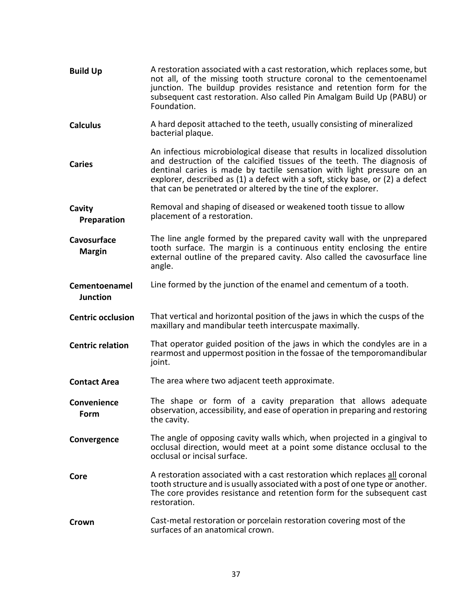| <b>Build Up</b>                  | A restoration associated with a cast restoration, which replaces some, but<br>not all, of the missing tooth structure coronal to the cementoenamel<br>junction. The buildup provides resistance and retention form for the<br>subsequent cast restoration. Also called Pin Amalgam Build Up (PABU) or<br>Foundation.                                                                |
|----------------------------------|-------------------------------------------------------------------------------------------------------------------------------------------------------------------------------------------------------------------------------------------------------------------------------------------------------------------------------------------------------------------------------------|
| <b>Calculus</b>                  | A hard deposit attached to the teeth, usually consisting of mineralized<br>bacterial plaque.                                                                                                                                                                                                                                                                                        |
| <b>Caries</b>                    | An infectious microbiological disease that results in localized dissolution<br>and destruction of the calcified tissues of the teeth. The diagnosis of<br>dentinal caries is made by tactile sensation with light pressure on an<br>explorer, described as (1) a defect with a soft, sticky base, or (2) a defect<br>that can be penetrated or altered by the tine of the explorer. |
| Cavity<br>Preparation            | Removal and shaping of diseased or weakened tooth tissue to allow<br>placement of a restoration.                                                                                                                                                                                                                                                                                    |
| Cavosurface<br><b>Margin</b>     | The line angle formed by the prepared cavity wall with the unprepared<br>tooth surface. The margin is a continuous entity enclosing the entire<br>external outline of the prepared cavity. Also called the cavosurface line<br>angle.                                                                                                                                               |
| Cementoenamel<br><b>Junction</b> | Line formed by the junction of the enamel and cementum of a tooth.                                                                                                                                                                                                                                                                                                                  |
| <b>Centric occlusion</b>         | That vertical and horizontal position of the jaws in which the cusps of the<br>maxillary and mandibular teeth intercuspate maximally.                                                                                                                                                                                                                                               |
| <b>Centric relation</b>          | That operator guided position of the jaws in which the condyles are in a<br>rearmost and uppermost position in the fossae of the temporomandibular<br>joint.                                                                                                                                                                                                                        |
| <b>Contact Area</b>              | The area where two adjacent teeth approximate.                                                                                                                                                                                                                                                                                                                                      |
| Convenience<br>Form              | The shape or form of a cavity preparation that allows adequate<br>observation, accessibility, and ease of operation in preparing and restoring<br>the cavity.                                                                                                                                                                                                                       |
| Convergence                      | The angle of opposing cavity walls which, when projected in a gingival to<br>occlusal direction, would meet at a point some distance occlusal to the<br>occlusal or incisal surface.                                                                                                                                                                                                |
| Core                             | A restoration associated with a cast restoration which replaces all coronal<br>tooth structure and is usually associated with a post of one type or another.<br>The core provides resistance and retention form for the subsequent cast<br>restoration.                                                                                                                             |
| Crown                            | Cast-metal restoration or porcelain restoration covering most of the<br>surfaces of an anatomical crown.                                                                                                                                                                                                                                                                            |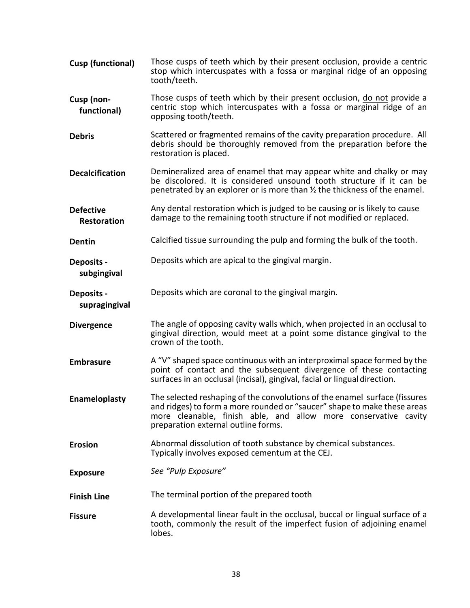**Cusp (functional)** Those cusps of teeth which by their present occlusion, provide a centric stop which intercuspates with a fossa or marginal ridge of an opposing tooth/teeth. **Cusp (nonfunctional)** Those cusps of teeth which by their present occlusion, do not provide a centric stop which intercuspates with a fossa or marginal ridge of an opposing tooth/teeth. **Debris** Scattered or fragmented remains of the cavity preparation procedure. All debris should be thoroughly removed from the preparation before the restoration is placed. **Decalcification** Demineralized area of enamel that may appear white and chalky or may be discolored. It is considered unsound tooth structure if it can be penetrated by an explorer or is more than ½ the thickness of the enamel. **Defective Restoration** Any dental restoration which is judged to be causing or is likely to cause damage to the remaining tooth structure if not modified or replaced. **Dentin** Calcified tissue surrounding the pulp and forming the bulk of the tooth. **Deposits subgingival** Deposits which are apical to the gingival margin. **Deposits supragingival** Deposits which are coronal to the gingival margin. **Divergence** The angle of opposing cavity walls which, when projected in an occlusal to gingival direction, would meet at a point some distance gingival to the crown of the tooth. **Embrasure** A "V" shaped space continuous with an interproximal space formed by the point of contact and the subsequent divergence of these contacting surfaces in an occlusal (incisal), gingival, facial or lingual direction. **Enameloplasty** The selected reshaping of the convolutions of the enamel surface (fissures and ridges) to form a more rounded or "saucer" shape to make these areas more cleanable, finish able, and allow more conservative cavity preparation external outline forms. **Erosion** Abnormal dissolution of tooth substance by chemical substances. Typically involves exposed cementum at the CEJ. **Exposure** *See "Pulp Exposure"* **Finish Line** The terminal portion of the prepared tooth **Fissure** A developmental linear fault in the occlusal, buccal or lingual surface of a tooth, commonly the result of the imperfect fusion of adjoining enamel lobes.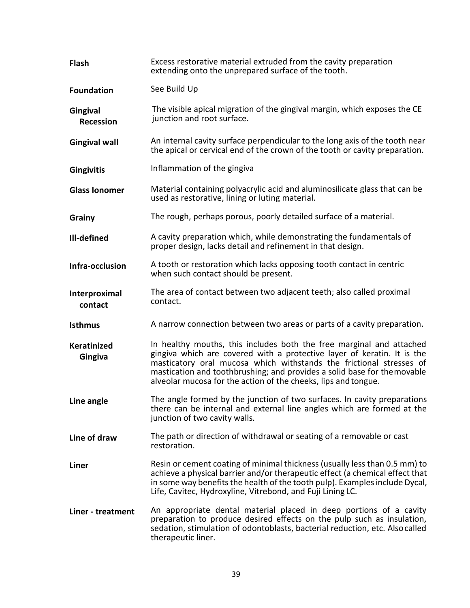| <b>Flash</b>                        | Excess restorative material extruded from the cavity preparation<br>extending onto the unprepared surface of the tooth.                                                                                                                                                                                                                                             |
|-------------------------------------|---------------------------------------------------------------------------------------------------------------------------------------------------------------------------------------------------------------------------------------------------------------------------------------------------------------------------------------------------------------------|
| <b>Foundation</b>                   | See Build Up                                                                                                                                                                                                                                                                                                                                                        |
| <b>Gingival</b><br><b>Recession</b> | The visible apical migration of the gingival margin, which exposes the CE<br>junction and root surface.                                                                                                                                                                                                                                                             |
| <b>Gingival wall</b>                | An internal cavity surface perpendicular to the long axis of the tooth near<br>the apical or cervical end of the crown of the tooth or cavity preparation.                                                                                                                                                                                                          |
| <b>Gingivitis</b>                   | Inflammation of the gingiva                                                                                                                                                                                                                                                                                                                                         |
| <b>Glass lonomer</b>                | Material containing polyacrylic acid and aluminosilicate glass that can be<br>used as restorative, lining or luting material.                                                                                                                                                                                                                                       |
| Grainy                              | The rough, perhaps porous, poorly detailed surface of a material.                                                                                                                                                                                                                                                                                                   |
| Ill-defined                         | A cavity preparation which, while demonstrating the fundamentals of<br>proper design, lacks detail and refinement in that design.                                                                                                                                                                                                                                   |
| Infra-occlusion                     | A tooth or restoration which lacks opposing tooth contact in centric<br>when such contact should be present.                                                                                                                                                                                                                                                        |
| <b>Interproximal</b><br>contact     | The area of contact between two adjacent teeth; also called proximal<br>contact.                                                                                                                                                                                                                                                                                    |
| <b>Isthmus</b>                      | A narrow connection between two areas or parts of a cavity preparation.                                                                                                                                                                                                                                                                                             |
| <b>Keratinized</b><br>Gingiva       | In healthy mouths, this includes both the free marginal and attached<br>gingiva which are covered with a protective layer of keratin. It is the<br>masticatory oral mucosa which withstands the frictional stresses of<br>mastication and toothbrushing; and provides a solid base for themovable<br>alveolar mucosa for the action of the cheeks, lips and tongue. |
| Line angle                          | The angle formed by the junction of two surfaces. In cavity preparations<br>there can be internal and external line angles which are formed at the<br>junction of two cavity walls.                                                                                                                                                                                 |
| Line of draw                        | The path or direction of withdrawal or seating of a removable or cast<br>restoration.                                                                                                                                                                                                                                                                               |
| Liner                               | Resin or cement coating of minimal thickness (usually less than 0.5 mm) to<br>achieve a physical barrier and/or therapeutic effect (a chemical effect that<br>in some way benefits the health of the tooth pulp). Examples include Dycal,<br>Life, Cavitec, Hydroxyline, Vitrebond, and Fuji Lining LC.                                                             |
| Liner - treatment                   | An appropriate dental material placed in deep portions of a cavity<br>preparation to produce desired effects on the pulp such as insulation,<br>sedation, stimulation of odontoblasts, bacterial reduction, etc. Also called<br>therapeutic liner.                                                                                                                  |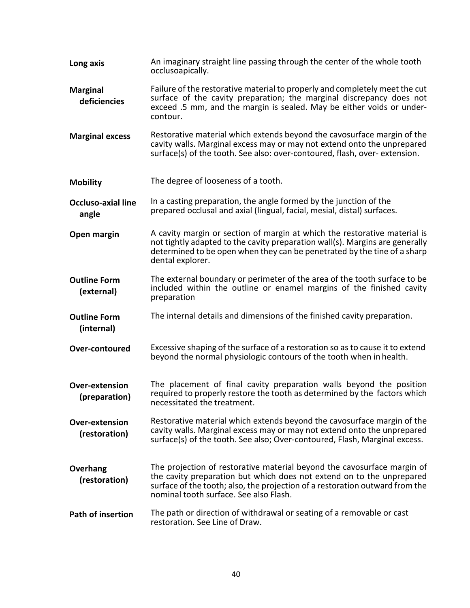**Long axis** An imaginary straight line passing through the center of the whole tooth occlusoapically. **Marginal deficiencies** Failure of the restorative material to properly and completely meet the cut surface of the cavity preparation; the marginal discrepancy does not exceed .5 mm, and the margin is sealed. May be either voids or under- contour. **Marginal excess** Restorative material which extends beyond the cavosurface margin of the cavity walls. Marginal excess may or may not extend onto the unprepared surface(s) of the tooth. See also: over-contoured, flash, over- extension. **Mobility** The degree of looseness of a tooth. **Occluso-axial line angle** In a casting preparation, the angle formed by the junction of the prepared occlusal and axial (lingual, facial, mesial, distal) surfaces. **Open margin** A cavity margin or section of margin at which the restorative material is not tightly adapted to the cavity preparation wall(s). Margins are generally determined to be open when they can be penetrated by the tine of a sharp dental explorer. **Outline Form (external)** The external boundary or perimeter of the area of the tooth surface to be included within the outline or enamel margins of the finished cavity preparation **Outline Form (internal)** The internal details and dimensions of the finished cavity preparation. **Over-contoured** Excessive shaping of the surface of a restoration so asto cause it to extend beyond the normal physiologic contours of the tooth when in health. **Over-extension (preparation)** The placement of final cavity preparation walls beyond the position required to properly restore the tooth as determined by the factors which necessitated the treatment. **Over-extension (restoration)** Restorative material which extends beyond the cavosurface margin of the cavity walls. Marginal excess may or may not extend onto the unprepared surface(s) of the tooth. See also; Over-contoured, Flash, Marginal excess. **Overhang (restoration)** The projection of restorative material beyond the cavosurface margin of the cavity preparation but which does not extend on to the unprepared surface of the tooth; also, the projection of a restoration outward from the nominal tooth surface. See also Flash. **Path of insertion** The path or direction of withdrawal or seating of a removable or cast restoration. See Line of Draw.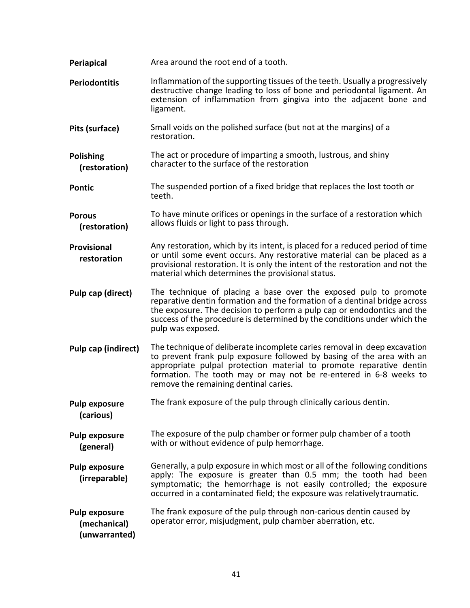- **Periapical** Area around the root end of a tooth.
- **Periodontitis** Inflammation of the supporting tissues of the teeth. Usually a progressively destructive change leading to loss of bone and periodontal ligament. An extension of inflammation from gingiva into the adjacent bone and ligament.
- **Pits (surface)** Small voids on the polished surface (but not at the margins) of a restoration.
- **Polishing (restoration)** The act or procedure of imparting a smooth, lustrous, and shiny character to the surface of the restoration
- **Pontic** The suspended portion of a fixed bridge that replaces the lost tooth or teeth.
- **Porous (restoration)** To have minute orifices or openings in the surface of a restoration which allows fluids or light to pass through.
- **Provisional restoration** Any restoration, which by its intent, is placed for a reduced period of time or until some event occurs. Any restorative material can be placed as a provisional restoration. It is only the intent of the restoration and not the material which determines the provisional status.
- **Pulp cap (direct)** The technique of placing a base over the exposed pulp to promote reparative dentin formation and the formation of a dentinal bridge across the exposure. The decision to perform a pulp cap or endodontics and the success of the procedure is determined by the conditions under which the pulp was exposed.
- **Pulp cap (indirect)** The technique of deliberate incomplete caries removal in deep excavation to prevent frank pulp exposure followed by basing of the area with an appropriate pulpal protection material to promote reparative dentin formation. The tooth may or may not be re-entered in 6-8 weeks to remove the remaining dentinal caries.
- **Pulp exposure**  The frank exposure of the pulp through clinically carious dentin.
- **(carious)**
- **Pulp exposure (general)** The exposure of the pulp chamber or former pulp chamber of a tooth with or without evidence of pulp hemorrhage.
- **Pulp exposure (irreparable)** Generally, a pulp exposure in which most or all of the following conditions apply: The exposure is greater than 0.5 mm; the tooth had been symptomatic; the hemorrhage is not easily controlled; the exposure occurred in a contaminated field; the exposure was relativelytraumatic.
- **Pulp exposure (mechanical) (unwarranted)** The frank exposure of the pulp through non-carious dentin caused by operator error, misjudgment, pulp chamber aberration, etc.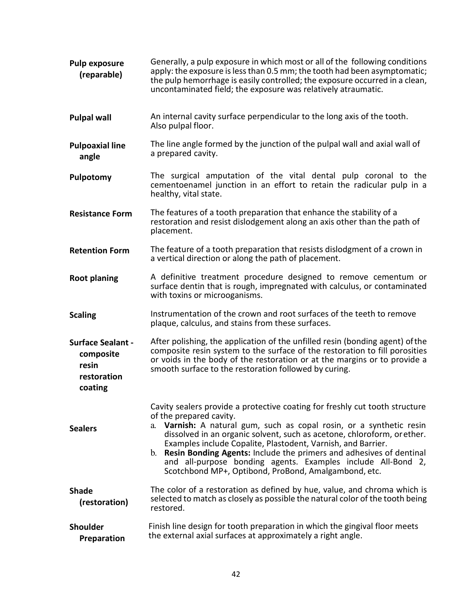| <b>Pulp exposure</b><br>(reparable)                                      | Generally, a pulp exposure in which most or all of the following conditions<br>apply: the exposure is less than 0.5 mm; the tooth had been asymptomatic;<br>the pulp hemorrhage is easily controlled; the exposure occurred in a clean,<br>uncontaminated field; the exposure was relatively atraumatic.                                                                                                                                                                                                                                      |
|--------------------------------------------------------------------------|-----------------------------------------------------------------------------------------------------------------------------------------------------------------------------------------------------------------------------------------------------------------------------------------------------------------------------------------------------------------------------------------------------------------------------------------------------------------------------------------------------------------------------------------------|
| <b>Pulpal wall</b>                                                       | An internal cavity surface perpendicular to the long axis of the tooth.<br>Also pulpal floor.                                                                                                                                                                                                                                                                                                                                                                                                                                                 |
| <b>Pulpoaxial line</b><br>angle                                          | The line angle formed by the junction of the pulpal wall and axial wall of<br>a prepared cavity.                                                                                                                                                                                                                                                                                                                                                                                                                                              |
| Pulpotomy                                                                | The surgical amputation of the vital dental pulp coronal to the<br>cementoenamel junction in an effort to retain the radicular pulp in a<br>healthy, vital state.                                                                                                                                                                                                                                                                                                                                                                             |
| <b>Resistance Form</b>                                                   | The features of a tooth preparation that enhance the stability of a<br>restoration and resist dislodgement along an axis other than the path of<br>placement.                                                                                                                                                                                                                                                                                                                                                                                 |
| <b>Retention Form</b>                                                    | The feature of a tooth preparation that resists dislodgment of a crown in<br>a vertical direction or along the path of placement.                                                                                                                                                                                                                                                                                                                                                                                                             |
| <b>Root planing</b>                                                      | A definitive treatment procedure designed to remove cementum or<br>surface dentin that is rough, impregnated with calculus, or contaminated<br>with toxins or microoganisms.                                                                                                                                                                                                                                                                                                                                                                  |
| <b>Scaling</b>                                                           | Instrumentation of the crown and root surfaces of the teeth to remove<br>plaque, calculus, and stains from these surfaces.                                                                                                                                                                                                                                                                                                                                                                                                                    |
| <b>Surface Sealant -</b><br>composite<br>resin<br>restoration<br>coating | After polishing, the application of the unfilled resin (bonding agent) of the<br>composite resin system to the surface of the restoration to fill porosities<br>or voids in the body of the restoration or at the margins or to provide a<br>smooth surface to the restoration followed by curing.                                                                                                                                                                                                                                            |
| <b>Sealers</b>                                                           | Cavity sealers provide a protective coating for freshly cut tooth structure<br>of the prepared cavity.<br>Varnish: A natural gum, such as copal rosin, or a synthetic resin<br>a.<br>dissolved in an organic solvent, such as acetone, chloroform, or ether.<br>Examples include Copalite, Plastodent, Varnish, and Barrier.<br>Resin Bonding Agents: Include the primers and adhesives of dentinal<br>$\mathbf{b}$ .<br>and all-purpose bonding agents. Examples include All-Bond 2,<br>Scotchbond MP+, Optibond, ProBond, Amalgambond, etc. |
| <b>Shade</b><br>(restoration)                                            | The color of a restoration as defined by hue, value, and chroma which is<br>selected to match as closely as possible the natural color of the tooth being<br>restored.                                                                                                                                                                                                                                                                                                                                                                        |
| <b>Shoulder</b><br>Preparation                                           | Finish line design for tooth preparation in which the gingival floor meets<br>the external axial surfaces at approximately a right angle.                                                                                                                                                                                                                                                                                                                                                                                                     |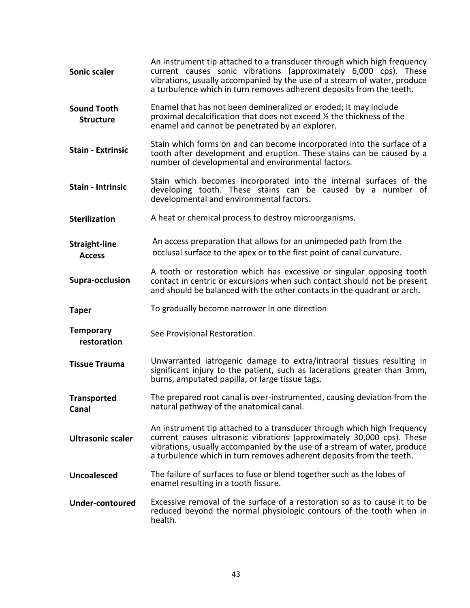- **Sonic scaler** An instrument tip attached to a transducer through which high frequency current causes sonic vibrations (approximately 6,000 cps). These vibrations, usually accompanied by the use of a stream of water, produce a turbulence which in turn removes adherent deposits from the teeth.
- **Sound Tooth Structure** Enamel that has not been demineralized or eroded; it may include proximal decalcification that does not exceed ½ the thickness of the enamel and cannot be penetrated by an explorer.
- **Stain Extrinsic** Stain which forms on and can become incorporated into the surface of a<br>**Stain Extrinsic** state to the star development and exurtion. These stains can be saveed by a tooth after development and eruption. These stains can be caused by a number of developmental and environmental factors.
- **Stain - Intrinsic** Stain which becomes incorporated into the internal surfaces of the developing tooth. These stains can be caused by a number of developmental and environmental factors.
- **Sterilization** A heat or chemical process to destroy microorganisms.
- **Straight-line Access** An access preparation that allows for an unimpeded path from the occlusal surface to the apex or to the first point of canal curvature.
- **Supra-occlusion** A tooth or restoration which has excessive or singular opposing tooth contact in centric or excursions when such contact should not be present and should be balanced with the other contacts in the quadrant or arch.
- **Taper** To gradually become narrower in one direction
- **Temporary restoration** See Provisional Restoration.
- **Tissue Trauma** Unwarranted iatrogenic damage to extra/intraoral tissues resulting in significant injury to the patient, such as lacerations greater than 3mm, burns, amputated papilla, or large tissue tags.
- **Transported Canal** The prepared root canal is over-instrumented, causing deviation from the natural pathway of the anatomical canal.
- **Ultrasonic scaler** An instrument tip attached to a transducer through which high frequency current causes ultrasonic vibrations (approximately 30,000 cps). These vibrations, usually accompanied by the use of a stream of water, produce a turbulence which in turn removes adherent deposits from the teeth.
- **Uncoalesced** The failure of surfaces to fuse or blend together such as the lobes of enamel resulting in a tooth fissure.
- **Under-contoured** Excessive removal of the surface of a restoration so as to cause it to be reduced beyond the normal physiologic contours of the tooth when in health.